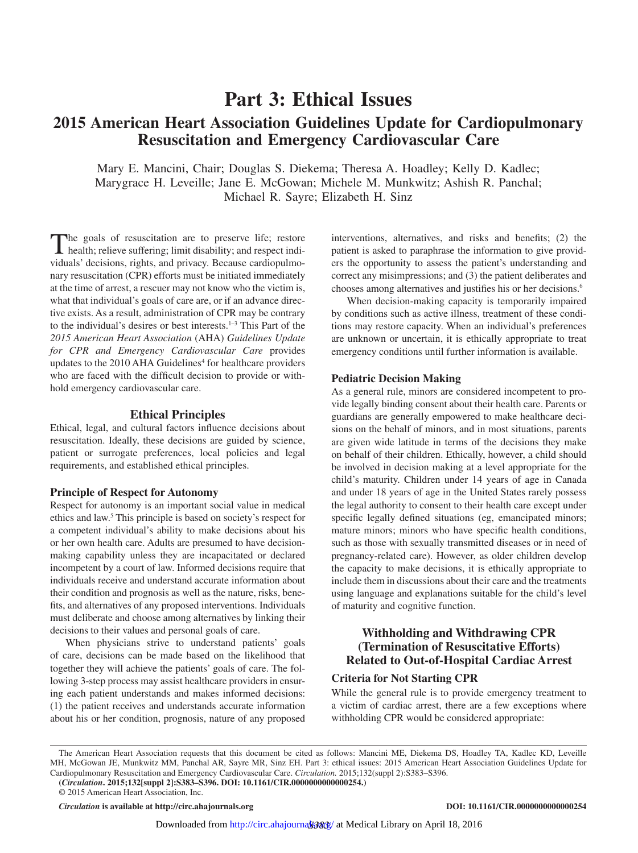# **Part 3: Ethical Issues**

## **2015 American Heart Association Guidelines Update for Cardiopulmonary Resuscitation and Emergency Cardiovascular Care**

Mary E. Mancini, Chair; Douglas S. Diekema; Theresa A. Hoadley; Kelly D. Kadlec; Marygrace H. Leveille; Jane E. McGowan; Michele M. Munkwitz; Ashish R. Panchal; Michael R. Sayre; Elizabeth H. Sinz

The goals of resuscitation are to preserve life; restore health; relieve suffering; limit disability; and respect individuals' decisions, rights, and privacy. Because cardiopulmonary resuscitation (CPR) efforts must be initiated immediately at the time of arrest, a rescuer may not know who the victim is, what that individual's goals of care are, or if an advance directive exists. As a result, administration of CPR may be contrary to the individual's desires or best interests.<sup>1-3</sup> This Part of the *2015 American Heart Association* (AHA) *Guidelines Update for CPR and Emergency Cardiovascular Care* provides updates to the 2010 AHA Guidelines<sup>4</sup> for healthcare providers who are faced with the difficult decision to provide or withhold emergency cardiovascular care.

### **Ethical Principles**

Ethical, legal, and cultural factors influence decisions about resuscitation. Ideally, these decisions are guided by science, patient or surrogate preferences, local policies and legal requirements, and established ethical principles.

### **Principle of Respect for Autonomy**

Respect for autonomy is an important social value in medical ethics and law.<sup>5</sup> This principle is based on society's respect for a competent individual's ability to make decisions about his or her own health care. Adults are presumed to have decisionmaking capability unless they are incapacitated or declared incompetent by a court of law. Informed decisions require that individuals receive and understand accurate information about their condition and prognosis as well as the nature, risks, benefits, and alternatives of any proposed interventions. Individuals must deliberate and choose among alternatives by linking their decisions to their values and personal goals of care.

When physicians strive to understand patients' goals of care, decisions can be made based on the likelihood that together they will achieve the patients' goals of care. The following 3-step process may assist healthcare providers in ensuring each patient understands and makes informed decisions: (1) the patient receives and understands accurate information about his or her condition, prognosis, nature of any proposed interventions, alternatives, and risks and benefits; (2) the patient is asked to paraphrase the information to give providers the opportunity to assess the patient's understanding and correct any misimpressions; and (3) the patient deliberates and chooses among alternatives and justifies his or her decisions.6

When decision-making capacity is temporarily impaired by conditions such as active illness, treatment of these conditions may restore capacity. When an individual's preferences are unknown or uncertain, it is ethically appropriate to treat emergency conditions until further information is available.

#### **Pediatric Decision Making**

As a general rule, minors are considered incompetent to provide legally binding consent about their health care. Parents or guardians are generally empowered to make healthcare decisions on the behalf of minors, and in most situations, parents are given wide latitude in terms of the decisions they make on behalf of their children. Ethically, however, a child should be involved in decision making at a level appropriate for the child's maturity. Children under 14 years of age in Canada and under 18 years of age in the United States rarely possess the legal authority to consent to their health care except under specific legally defined situations (eg, emancipated minors; mature minors; minors who have specific health conditions, such as those with sexually transmitted diseases or in need of pregnancy-related care). However, as older children develop the capacity to make decisions, it is ethically appropriate to include them in discussions about their care and the treatments using language and explanations suitable for the child's level of maturity and cognitive function.

### **Withholding and Withdrawing CPR (Termination of Resuscitative Efforts) Related to Out-of-Hospital Cardiac Arrest**

### **Criteria for Not Starting CPR**

While the general rule is to provide emergency treatment to a victim of cardiac arrest, there are a few exceptions where withholding CPR would be considered appropriate:

© 2015 American Heart Association, Inc.

*Circulation* **is available at http://circ.ahajournals.org DOI: 10.1161/CIR.0000000000000254**

The American Heart Association requests that this document be cited as follows: Mancini ME, Diekema DS, Hoadley TA, Kadlec KD, Leveille MH, McGowan JE, Munkwitz MM, Panchal AR, Sayre MR, Sinz EH. Part 3: ethical issues: 2015 American Heart Association Guidelines Update for Cardiopulmonary Resuscitation and Emergency Cardiovascular Care. *Circulation.* 2015;132(suppl 2):S383–S396.

**<sup>(</sup>***Circulation***. 2015;132[suppl 2]:S383–S396. DOI: 10.1161/CIR.0000000000000254.)**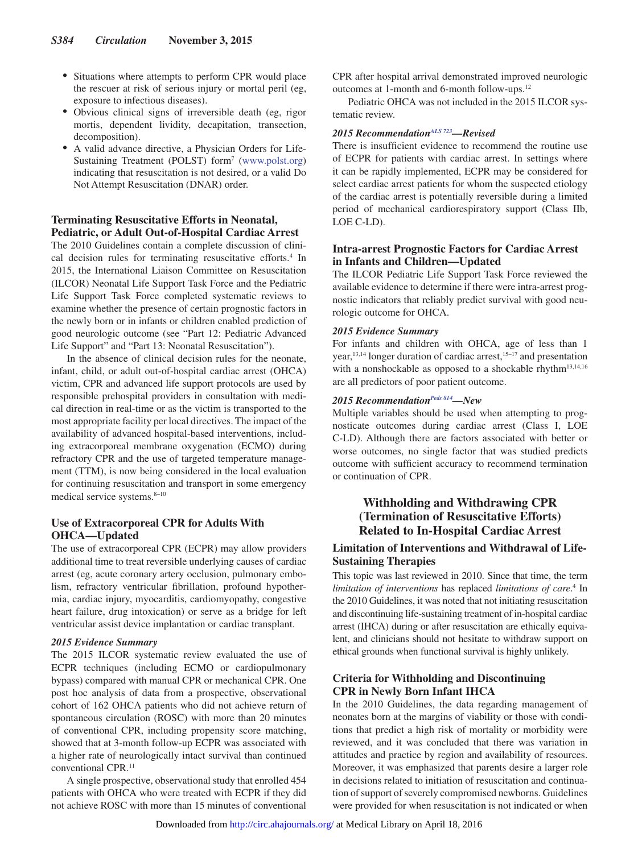- Situations where attempts to perform CPR would place the rescuer at risk of serious injury or mortal peril (eg, exposure to infectious diseases).
- • Obvious clinical signs of irreversible death (eg, rigor mortis, dependent lividity, decapitation, transection, decomposition).
- • A valid advance directive, a Physician Orders for Life-Sustaining Treatment (POLST) form<sup>7</sup> [\(www.polst.org\)](www.polst.org) indicating that resuscitation is not desired, or a valid Do Not Attempt Resuscitation (DNAR) order.

### **Terminating Resuscitative Efforts in Neonatal, Pediatric, or Adult Out-of-Hospital Cardiac Arrest**

The 2010 Guidelines contain a complete discussion of clinical decision rules for terminating resuscitative efforts.<sup>4</sup> In 2015, the International Liaison Committee on Resuscitation (ILCOR) Neonatal Life Support Task Force and the Pediatric Life Support Task Force completed systematic reviews to examine whether the presence of certain prognostic factors in the newly born or in infants or children enabled prediction of good neurologic outcome (see "Part 12: Pediatric Advanced Life Support" and "Part 13: Neonatal Resuscitation").

In the absence of clinical decision rules for the neonate, infant, child, or adult out-of-hospital cardiac arrest (OHCA) victim, CPR and advanced life support protocols are used by responsible prehospital providers in consultation with medical direction in real-time or as the victim is transported to the most appropriate facility per local directives. The impact of the availability of advanced hospital-based interventions, including extracorporeal membrane oxygenation (ECMO) during refractory CPR and the use of targeted temperature management (TTM), is now being considered in the local evaluation for continuing resuscitation and transport in some emergency medical service systems.8–10

### **Use of Extracorporeal CPR for Adults With OHCA—Updated**

The use of extracorporeal CPR (ECPR) may allow providers additional time to treat reversible underlying causes of cardiac arrest (eg, acute coronary artery occlusion, pulmonary embolism, refractory ventricular fibrillation, profound hypothermia, cardiac injury, myocarditis, cardiomyopathy, congestive heart failure, drug intoxication) or serve as a bridge for left ventricular assist device implantation or cardiac transplant.

### *2015 Evidence Summary*

The 2015 ILCOR systematic review evaluated the use of ECPR techniques (including ECMO or cardiopulmonary bypass) compared with manual CPR or mechanical CPR. One post hoc analysis of data from a prospective, observational cohort of 162 OHCA patients who did not achieve return of spontaneous circulation (ROSC) with more than 20 minutes of conventional CPR, including propensity score matching, showed that at 3-month follow-up ECPR was associated with a higher rate of neurologically intact survival than continued conventional CPR.11

A single prospective, observational study that enrolled 454 patients with OHCA who were treated with ECPR if they did not achieve ROSC with more than 15 minutes of conventional CPR after hospital arrival demonstrated improved neurologic outcomes at 1-month and 6-month follow-ups.12

Pediatric OHCA was not included in the 2015 ILCOR systematic review.

### *2015 Recommendation[ALS 723—](https://volunteer.heart.org/apps/pico/Pages/PublicComment.aspx?q=723)Revised*

There is insufficient evidence to recommend the routine use of ECPR for patients with cardiac arrest. In settings where it can be rapidly implemented, ECPR may be considered for select cardiac arrest patients for whom the suspected etiology of the cardiac arrest is potentially reversible during a limited period of mechanical cardiorespiratory support (Class IIb, LOE C-LD).

### **Intra-arrest Prognostic Factors for Cardiac Arrest in Infants and Children—Updated**

The ILCOR Pediatric Life Support Task Force reviewed the available evidence to determine if there were intra-arrest prognostic indicators that reliably predict survival with good neurologic outcome for OHCA.

#### *2015 Evidence Summary*

For infants and children with OHCA, age of less than 1 year,<sup>13,14</sup> longer duration of cardiac arrest, $15-17$  and presentation with a nonshockable as opposed to a shockable rhythm<sup>13,14,16</sup> are all predictors of poor patient outcome.

### *2015 Recommendation[Peds 814](https://volunteer.heart.org/apps/pico/Pages/PublicComment.aspx?q=814)—New*

Multiple variables should be used when attempting to prognosticate outcomes during cardiac arrest (Class I, LOE C-LD). Although there are factors associated with better or worse outcomes, no single factor that was studied predicts outcome with sufficient accuracy to recommend termination or continuation of CPR.

## **Withholding and Withdrawing CPR (Termination of Resuscitative Efforts) Related to In-Hospital Cardiac Arrest**

### **Limitation of Interventions and Withdrawal of Life-Sustaining Therapies**

This topic was last reviewed in 2010. Since that time, the term *limitation of interventions* has replaced *limitations of care*. 4 In the 2010 Guidelines, it was noted that not initiating resuscitation and discontinuing life-sustaining treatment of in-hospital cardiac arrest (IHCA) during or after resuscitation are ethically equivalent, and clinicians should not hesitate to withdraw support on ethical grounds when functional survival is highly unlikely.

### **Criteria for Withholding and Discontinuing CPR in Newly Born Infant IHCA**

In the 2010 Guidelines, the data regarding management of neonates born at the margins of viability or those with conditions that predict a high risk of mortality or morbidity were reviewed, and it was concluded that there was variation in attitudes and practice by region and availability of resources. Moreover, it was emphasized that parents desire a larger role in decisions related to initiation of resuscitation and continuation of support of severely compromised newborns. Guidelines were provided for when resuscitation is not indicated or when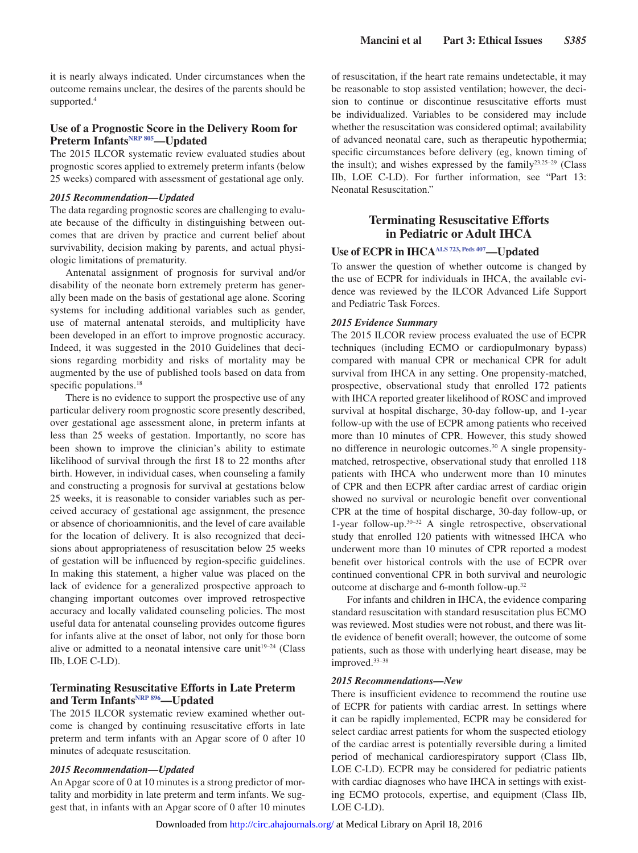it is nearly always indicated. Under circumstances when the outcome remains unclear, the desires of the parents should be supported.<sup>4</sup>

#### **Use of a Prognostic Score in the Delivery Room for Preterm Infants[NRP 805](https://volunteer.heart.org/apps/pico/Pages/PublicComment.aspx?q=805)—Updated**

The 2015 ILCOR systematic review evaluated studies about prognostic scores applied to extremely preterm infants (below 25 weeks) compared with assessment of gestational age only.

#### *2015 Recommendation—Updated*

The data regarding prognostic scores are challenging to evaluate because of the difficulty in distinguishing between outcomes that are driven by practice and current belief about survivability, decision making by parents, and actual physiologic limitations of prematurity.

Antenatal assignment of prognosis for survival and/or disability of the neonate born extremely preterm has generally been made on the basis of gestational age alone. Scoring systems for including additional variables such as gender, use of maternal antenatal steroids, and multiplicity have been developed in an effort to improve prognostic accuracy. Indeed, it was suggested in the 2010 Guidelines that decisions regarding morbidity and risks of mortality may be augmented by the use of published tools based on data from specific populations. $18$ 

There is no evidence to support the prospective use of any particular delivery room prognostic score presently described, over gestational age assessment alone, in preterm infants at less than 25 weeks of gestation. Importantly, no score has been shown to improve the clinician's ability to estimate likelihood of survival through the first 18 to 22 months after birth. However, in individual cases, when counseling a family and constructing a prognosis for survival at gestations below 25 weeks, it is reasonable to consider variables such as perceived accuracy of gestational age assignment, the presence or absence of chorioamnionitis, and the level of care available for the location of delivery. It is also recognized that decisions about appropriateness of resuscitation below 25 weeks of gestation will be influenced by region-specific guidelines. In making this statement, a higher value was placed on the lack of evidence for a generalized prospective approach to changing important outcomes over improved retrospective accuracy and locally validated counseling policies. The most useful data for antenatal counseling provides outcome figures for infants alive at the onset of labor, not only for those born alive or admitted to a neonatal intensive care unit<sup>19–24</sup> (Class IIb, LOE C-LD).

### **Terminating Resuscitative Efforts in Late Preterm and Term Infant[sNRP 896](https://volunteer.heart.org/apps/pico/Pages/PublicComment.aspx?q=896)—Updated**

The 2015 ILCOR systematic review examined whether outcome is changed by continuing resuscitative efforts in late preterm and term infants with an Apgar score of 0 after 10 minutes of adequate resuscitation.

#### *2015 Recommendation—Updated*

An Apgar score of 0 at 10 minutes is a strong predictor of mortality and morbidity in late preterm and term infants. We suggest that, in infants with an Apgar score of 0 after 10 minutes of resuscitation, if the heart rate remains undetectable, it may be reasonable to stop assisted ventilation; however, the decision to continue or discontinue resuscitative efforts must be individualized. Variables to be considered may include whether the resuscitation was considered optimal; availability of advanced neonatal care, such as therapeutic hypothermia; specific circumstances before delivery (eg, known timing of the insult); and wishes expressed by the family<sup>23,25–29</sup> (Class IIb, LOE C-LD). For further information, see "Part 13: Neonatal Resuscitation."

### **Terminating Resuscitative Efforts in Pediatric or Adult IHCA**

#### **Use of ECPR in IHC[AALS 723,](https://volunteer.heart.org/apps/pico/Pages/PublicComment.aspx?q=723) [Peds 407—](https://volunteer.heart.org/apps/pico/Pages/PublicComment.aspx?q=407)Updated**

To answer the question of whether outcome is changed by the use of ECPR for individuals in IHCA, the available evidence was reviewed by the ILCOR Advanced Life Support and Pediatric Task Forces.

#### *2015 Evidence Summary*

The 2015 ILCOR review process evaluated the use of ECPR techniques (including ECMO or cardiopulmonary bypass) compared with manual CPR or mechanical CPR for adult survival from IHCA in any setting. One propensity-matched, prospective, observational study that enrolled 172 patients with IHCA reported greater likelihood of ROSC and improved survival at hospital discharge, 30-day follow-up, and 1-year follow-up with the use of ECPR among patients who received more than 10 minutes of CPR. However, this study showed no difference in neurologic outcomes.30 A single propensitymatched, retrospective, observational study that enrolled 118 patients with IHCA who underwent more than 10 minutes of CPR and then ECPR after cardiac arrest of cardiac origin showed no survival or neurologic benefit over conventional CPR at the time of hospital discharge, 30-day follow-up, or 1-year follow-up.30–32 A single retrospective, observational study that enrolled 120 patients with witnessed IHCA who underwent more than 10 minutes of CPR reported a modest benefit over historical controls with the use of ECPR over continued conventional CPR in both survival and neurologic outcome at discharge and 6-month follow-up.32

For infants and children in IHCA, the evidence comparing standard resuscitation with standard resuscitation plus ECMO was reviewed. Most studies were not robust, and there was little evidence of benefit overall; however, the outcome of some patients, such as those with underlying heart disease, may be improved.33–38

#### *2015 Recommendations—New*

There is insufficient evidence to recommend the routine use of ECPR for patients with cardiac arrest. In settings where it can be rapidly implemented, ECPR may be considered for select cardiac arrest patients for whom the suspected etiology of the cardiac arrest is potentially reversible during a limited period of mechanical cardiorespiratory support (Class IIb, LOE C-LD). ECPR may be considered for pediatric patients with cardiac diagnoses who have IHCA in settings with existing ECMO protocols, expertise, and equipment (Class IIb, LOE C-LD).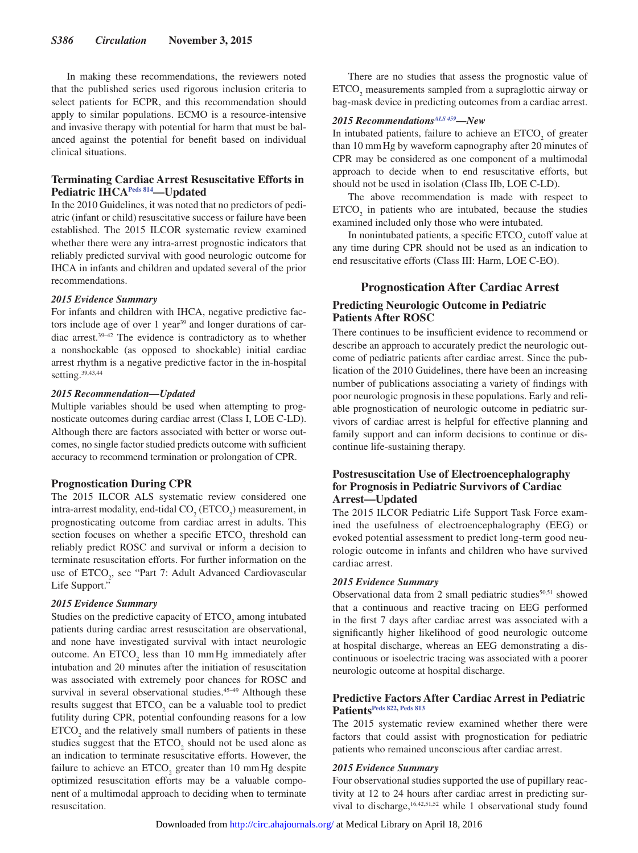In making these recommendations, the reviewers noted that the published series used rigorous inclusion criteria to select patients for ECPR, and this recommendation should apply to similar populations. ECMO is a resource-intensive and invasive therapy with potential for harm that must be balanced against the potential for benefit based on individual clinical situations.

### **Terminating Cardiac Arrest Resuscitative Efforts in Pediatric IHCA[Peds 814](https://volunteer.heart.org/apps/pico/Pages/PublicComment.aspx?q=814)—Updated**

In the 2010 Guidelines, it was noted that no predictors of pediatric (infant or child) resuscitative success or failure have been established. The 2015 ILCOR systematic review examined whether there were any intra-arrest prognostic indicators that reliably predicted survival with good neurologic outcome for IHCA in infants and children and updated several of the prior recommendations.

### *2015 Evidence Summary*

For infants and children with IHCA, negative predictive factors include age of over  $1$  year<sup>39</sup> and longer durations of cardiac arrest.39–42 The evidence is contradictory as to whether a nonshockable (as opposed to shockable) initial cardiac arrest rhythm is a negative predictive factor in the in-hospital setting.39,43,44

#### *2015 Recommendation—Updated*

Multiple variables should be used when attempting to prognosticate outcomes during cardiac arrest (Class I, LOE C-LD). Although there are factors associated with better or worse outcomes, no single factor studied predicts outcome with sufficient accuracy to recommend termination or prolongation of CPR.

#### **Prognostication During CPR**

The 2015 ILCOR ALS systematic review considered one intra-arrest modality, end-tidal  $\mathrm{CO}_2\times \mathrm{FTCO}_2$ ) measurement, in prognosticating outcome from cardiac arrest in adults. This section focuses on whether a specific  $ETCO<sub>2</sub>$  threshold can reliably predict ROSC and survival or inform a decision to terminate resuscitation efforts. For further information on the use of ETCO<sub>2</sub>, see "Part 7: Adult Advanced Cardiovascular Life Support."

#### *2015 Evidence Summary*

Studies on the predictive capacity of  $\text{ETCO}_2$  among intubated patients during cardiac arrest resuscitation are observational, and none have investigated survival with intact neurologic outcome. An  $ETCO<sub>2</sub>$  less than 10 mmHg immediately after intubation and 20 minutes after the initiation of resuscitation was associated with extremely poor chances for ROSC and survival in several observational studies.<sup>45-49</sup> Although these results suggest that  $ETCO<sub>2</sub>$  can be a valuable tool to predict futility during CPR, potential confounding reasons for a low  $ETCO<sub>2</sub>$  and the relatively small numbers of patients in these studies suggest that the  $ETCO<sub>2</sub>$  should not be used alone as an indication to terminate resuscitative efforts. However, the failure to achieve an  $ETCO<sub>2</sub>$  greater than 10 mm Hg despite optimized resuscitation efforts may be a valuable component of a multimodal approach to deciding when to terminate resuscitation.

There are no studies that assess the prognostic value of  $ETCO<sub>2</sub>$  measurements sampled from a supraglottic airway or bag-mask device in predicting outcomes from a cardiac arrest.

### *2015 Recommendations[ALS 459—](https://volunteer.heart.org/apps/pico/Pages/PublicComment.aspx?q=459)New*

In intubated patients, failure to achieve an  $ETCO<sub>2</sub>$  of greater than 10 mmHg by waveform capnography after 20 minutes of CPR may be considered as one component of a multimodal approach to decide when to end resuscitative efforts, but should not be used in isolation (Class IIb, LOE C-LD).

The above recommendation is made with respect to  $ETCO<sub>2</sub>$  in patients who are intubated, because the studies examined included only those who were intubated.

In nonintubated patients, a specific  $\text{ETCO}_2$  cutoff value at any time during CPR should not be used as an indication to end resuscitative efforts (Class III: Harm, LOE C-EO).

### **Prognostication After Cardiac Arrest**

### **Predicting Neurologic Outcome in Pediatric Patients After ROSC**

There continues to be insufficient evidence to recommend or describe an approach to accurately predict the neurologic outcome of pediatric patients after cardiac arrest. Since the publication of the 2010 Guidelines, there have been an increasing number of publications associating a variety of findings with poor neurologic prognosis in these populations. Early and reliable prognostication of neurologic outcome in pediatric survivors of cardiac arrest is helpful for effective planning and family support and can inform decisions to continue or discontinue life-sustaining therapy.

### **Postresuscitation Use of Electroencephalography for Prognosis in Pediatric Survivors of Cardiac Arrest—Updated**

The 2015 ILCOR Pediatric Life Support Task Force examined the usefulness of electroencephalography (EEG) or evoked potential assessment to predict long-term good neurologic outcome in infants and children who have survived cardiac arrest.

#### *2015 Evidence Summary*

Observational data from 2 small pediatric studies<sup>50,51</sup> showed that a continuous and reactive tracing on EEG performed in the first 7 days after cardiac arrest was associated with a significantly higher likelihood of good neurologic outcome at hospital discharge, whereas an EEG demonstrating a discontinuous or isoelectric tracing was associated with a poorer neurologic outcome at hospital discharge.

#### **Predictive Factors After Cardiac Arrest in Pediatric Patient[sPeds 822,](https://volunteer.heart.org/apps/pico/Pages/PublicComment.aspx?q=822) [Peds 813](https://volunteer.heart.org/apps/pico/Pages/PublicComment.aspx?q=813)**

The 2015 systematic review examined whether there were factors that could assist with prognostication for pediatric patients who remained unconscious after cardiac arrest.

#### *2015 Evidence Summary*

Four observational studies supported the use of pupillary reactivity at 12 to 24 hours after cardiac arrest in predicting survival to discharge,<sup>16,42,51,52</sup> while 1 observational study found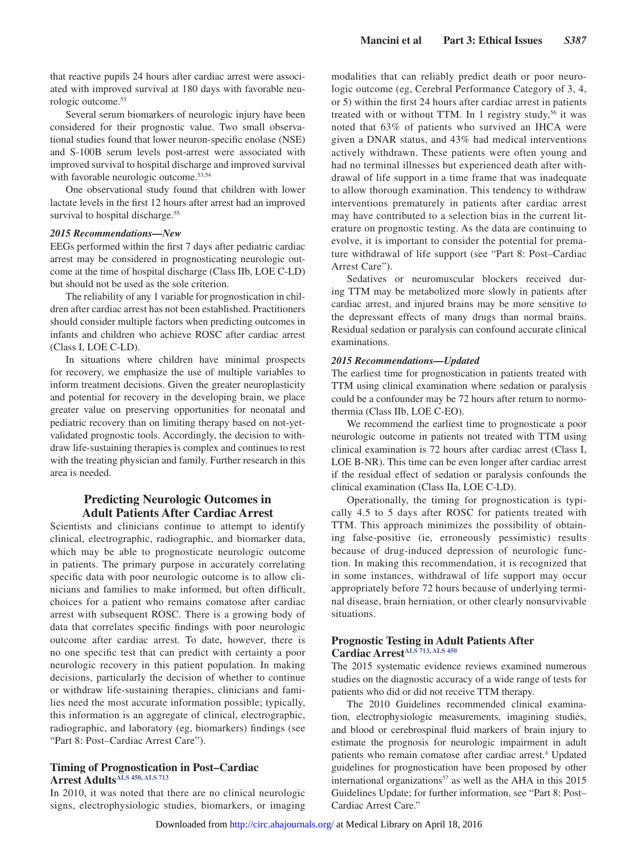that reactive pupils 24 hours after cardiac arrest were associated with improved survival at 180 days with favorable neurologic outcome.<sup>53</sup>

Several serum biomarkers of neurologic injury have been considered for their prognostic value. Two small observational studies found that lower neuron-specific enolase (NSE) and S-100B serum levels post-arrest were associated with improved survival to hospital discharge and improved survival with favorable neurologic outcome.<sup>53,54</sup>

One observational study found that children with lower lactate levels in the first 12 hours after arrest had an improved survival to hospital discharge.<sup>55</sup>

#### *2015 Recommendations—New*

EEGs performed within the first 7 days after pediatric cardiac arrest may be considered in prognosticating neurologic outcome at the time of hospital discharge (Class IIb, LOE C-LD) but should not be used as the sole criterion.

The reliability of any 1 variable for prognostication in children after cardiac arrest has not been established. Practitioners should consider multiple factors when predicting outcomes in infants and children who achieve ROSC after cardiac arrest (Class I, LOE C-LD).

In situations where children have minimal prospects for recovery, we emphasize the use of multiple variables to inform treatment decisions. Given the greater neuroplasticity and potential for recovery in the developing brain, we place greater value on preserving opportunities for neonatal and pediatric recovery than on limiting therapy based on not-yetvalidated prognostic tools. Accordingly, the decision to withdraw life-sustaining therapies is complex and continues to rest with the treating physician and family. Further research in this area is needed.

### **Predicting Neurologic Outcomes in Adult Patients After Cardiac Arrest**

Scientists and clinicians continue to attempt to identify clinical, electrographic, radiographic, and biomarker data, which may be able to prognosticate neurologic outcome in patients. The primary purpose in accurately correlating specific data with poor neurologic outcome is to allow clinicians and families to make informed, but often difficult, choices for a patient who remains comatose after cardiac arrest with subsequent ROSC. There is a growing body of data that correlates specific findings with poor neurologic outcome after cardiac arrest. To date, however, there is no one specific test that can predict with certainty a poor neurologic recovery in this patient population. In making decisions, particularly the decision of whether to continue or withdraw life-sustaining therapies, clinicians and families need the most accurate information possible; typically, this information is an aggregate of clinical, electrographic, radiographic, and laboratory (eg, biomarkers) findings (see "Part 8: Post–Cardiac Arrest Care").

#### **Timing of Prognostication in Post–Cardiac Arrest Adults[ALS 450](https://volunteer.heart.org/apps/pico/Pages/PublicComment.aspx?q=450), [ALS 713](https://volunteer.heart.org/apps/pico/Pages/PublicComment.aspx?q=713)**

In 2010, it was noted that there are no clinical neurologic signs, electrophysiologic studies, biomarkers, or imaging modalities that can reliably predict death or poor neurologic outcome (eg, Cerebral Performance Category of 3, 4, or 5) within the first 24 hours after cardiac arrest in patients treated with or without TTM. In 1 registry study,<sup>56</sup> it was noted that 63% of patients who survived an IHCA were given a DNAR status, and 43% had medical interventions actively withdrawn. These patients were often young and had no terminal illnesses but experienced death after withdrawal of life support in a time frame that was inadequate to allow thorough examination. This tendency to withdraw interventions prematurely in patients after cardiac arrest may have contributed to a selection bias in the current literature on prognostic testing. As the data are continuing to evolve, it is important to consider the potential for premature withdrawal of life support (see "Part 8: Post–Cardiac Arrest Care").

Sedatives or neuromuscular blockers received during TTM may be metabolized more slowly in patients after cardiac arrest, and injured brains may be more sensitive to the depressant effects of many drugs than normal brains. Residual sedation or paralysis can confound accurate clinical examinations.

#### *2015 Recommendations—Updated*

The earliest time for prognostication in patients treated with TTM using clinical examination where sedation or paralysis could be a confounder may be 72 hours after return to normothermia (Class IIb, LOE C-EO).

We recommend the earliest time to prognosticate a poor neurologic outcome in patients not treated with TTM using clinical examination is 72 hours after cardiac arrest (Class I, LOE B-NR). This time can be even longer after cardiac arrest if the residual effect of sedation or paralysis confounds the clinical examination (Class IIa, LOE C-LD).

Operationally, the timing for prognostication is typically 4.5 to 5 days after ROSC for patients treated with TTM. This approach minimizes the possibility of obtaining false-positive (ie, erroneously pessimistic) results because of drug-induced depression of neurologic function. In making this recommendation, it is recognized that in some instances, withdrawal of life support may occur appropriately before 72 hours because of underlying terminal disease, brain herniation, or other clearly nonsurvivable situations.

### **Prognostic Testing in Adult Patients After Cardiac Arres[tALS 713,](https://volunteer.heart.org/apps/pico/Pages/PublicComment.aspx?q=713) [ALS 450](https://volunteer.heart.org/apps/pico/Pages/PublicComment.aspx?q=450)**

The 2015 systematic evidence reviews examined numerous studies on the diagnostic accuracy of a wide range of tests for patients who did or did not receive TTM therapy.

The 2010 Guidelines recommended clinical examination, electrophysiologic measurements, imagining studies, and blood or cerebrospinal fluid markers of brain injury to estimate the prognosis for neurologic impairment in adult patients who remain comatose after cardiac arrest.4 Updated guidelines for prognostication have been proposed by other international organizations<sup>57</sup> as well as the AHA in this  $2015$ Guidelines Update; for further information, see "Part 8: Post– Cardiac Arrest Care."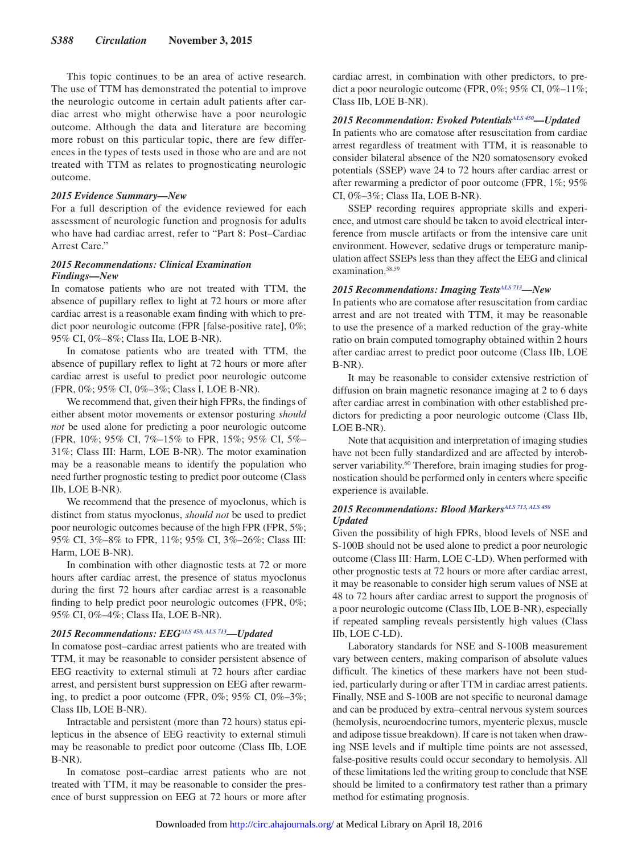This topic continues to be an area of active research. The use of TTM has demonstrated the potential to improve the neurologic outcome in certain adult patients after cardiac arrest who might otherwise have a poor neurologic outcome. Although the data and literature are becoming more robust on this particular topic, there are few differences in the types of tests used in those who are and are not treated with TTM as relates to prognosticating neurologic outcome.

#### *2015 Evidence Summary—New*

For a full description of the evidence reviewed for each assessment of neurologic function and prognosis for adults who have had cardiac arrest, refer to "Part 8: Post–Cardiac Arrest Care."

### *2015 Recommendations: Clinical Examination Findings—New*

In comatose patients who are not treated with TTM, the absence of pupillary reflex to light at 72 hours or more after cardiac arrest is a reasonable exam finding with which to predict poor neurologic outcome (FPR [false-positive rate], 0%; 95% CI, 0%–8%; Class IIa, LOE B-NR).

In comatose patients who are treated with TTM, the absence of pupillary reflex to light at 72 hours or more after cardiac arrest is useful to predict poor neurologic outcome (FPR, 0%; 95% CI, 0%–3%; Class I, LOE B-NR).

We recommend that, given their high FPRs, the findings of either absent motor movements or extensor posturing *should not* be used alone for predicting a poor neurologic outcome (FPR, 10%; 95% CI, 7%–15% to FPR, 15%; 95% CI, 5%– 31%; Class III: Harm, LOE B-NR). The motor examination may be a reasonable means to identify the population who need further prognostic testing to predict poor outcome (Class IIb, LOE B-NR).

We recommend that the presence of myoclonus, which is distinct from status myoclonus, *should not* be used to predict poor neurologic outcomes because of the high FPR (FPR, 5%; 95% CI, 3%–8% to FPR, 11%; 95% CI, 3%–26%; Class III: Harm, LOE B-NR).

In combination with other diagnostic tests at 72 or more hours after cardiac arrest, the presence of status myoclonus during the first 72 hours after cardiac arrest is a reasonable finding to help predict poor neurologic outcomes (FPR, 0%; 95% CI, 0%–4%; Class IIa, LOE B-NR).

### *2015 Recommendations: EEG[ALS 450,](https://volunteer.heart.org/apps/pico/Pages/PublicComment.aspx?q=450) [ALS 713](https://volunteer.heart.org/apps/pico/Pages/PublicComment.aspx?q=713)—Updated*

In comatose post–cardiac arrest patients who are treated with TTM, it may be reasonable to consider persistent absence of EEG reactivity to external stimuli at 72 hours after cardiac arrest, and persistent burst suppression on EEG after rewarming, to predict a poor outcome (FPR, 0%; 95% CI, 0%–3%; Class IIb, LOE B-NR).

Intractable and persistent (more than 72 hours) status epilepticus in the absence of EEG reactivity to external stimuli may be reasonable to predict poor outcome (Class IIb, LOE B-NR).

In comatose post–cardiac arrest patients who are not treated with TTM, it may be reasonable to consider the presence of burst suppression on EEG at 72 hours or more after cardiac arrest, in combination with other predictors, to predict a poor neurologic outcome (FPR, 0%; 95% CI, 0%-11%; Class IIb, LOE B-NR).

### 2015 Recommendation: Evoked Potential<sup>*ALS 450*-Updated</sup>

In patients who are comatose after resuscitation from cardiac arrest regardless of treatment with TTM, it is reasonable to consider bilateral absence of the N20 somatosensory evoked potentials (SSEP) wave 24 to 72 hours after cardiac arrest or after rewarming a predictor of poor outcome (FPR, 1%; 95% CI, 0%–3%; Class IIa, LOE B-NR).

SSEP recording requires appropriate skills and experience, and utmost care should be taken to avoid electrical interference from muscle artifacts or from the intensive care unit environment. However, sedative drugs or temperature manipulation affect SSEPs less than they affect the EEG and clinical examination.58,59

### *2015 Recommendations: Imaging Test[sALS 713—](https://volunteer.heart.org/apps/pico/Pages/PublicComment.aspx?q=713)New*

In patients who are comatose after resuscitation from cardiac arrest and are not treated with TTM, it may be reasonable to use the presence of a marked reduction of the gray-white ratio on brain computed tomography obtained within 2 hours after cardiac arrest to predict poor outcome (Class IIb, LOE B-NR).

It may be reasonable to consider extensive restriction of diffusion on brain magnetic resonance imaging at 2 to 6 days after cardiac arrest in combination with other established predictors for predicting a poor neurologic outcome (Class IIb, LOE B-NR).

Note that acquisition and interpretation of imaging studies have not been fully standardized and are affected by interobserver variability.<sup>60</sup> Therefore, brain imaging studies for prognostication should be performed only in centers where specific experience is available.

### *2015 Recommendations: Blood Markers[ALS 713,](https://volunteer.heart.org/apps/pico/Pages/PublicComment.aspx?q=713) [ALS 450](https://volunteer.heart.org/apps/pico/Pages/PublicComment.aspx?q=450) Updated*

Given the possibility of high FPRs, blood levels of NSE and S-100B should not be used alone to predict a poor neurologic outcome (Class III: Harm, LOE C-LD). When performed with other prognostic tests at 72 hours or more after cardiac arrest, it may be reasonable to consider high serum values of NSE at 48 to 72 hours after cardiac arrest to support the prognosis of a poor neurologic outcome (Class IIb, LOE B-NR), especially if repeated sampling reveals persistently high values (Class IIb, LOE C-LD).

Laboratory standards for NSE and S-100B measurement vary between centers, making comparison of absolute values difficult. The kinetics of these markers have not been studied, particularly during or after TTM in cardiac arrest patients. Finally, NSE and S-100B are not specific to neuronal damage and can be produced by extra–central nervous system sources (hemolysis, neuroendocrine tumors, myenteric plexus, muscle and adipose tissue breakdown). If care is not taken when drawing NSE levels and if multiple time points are not assessed, false-positive results could occur secondary to hemolysis. All of these limitations led the writing group to conclude that NSE should be limited to a confirmatory test rather than a primary method for estimating prognosis.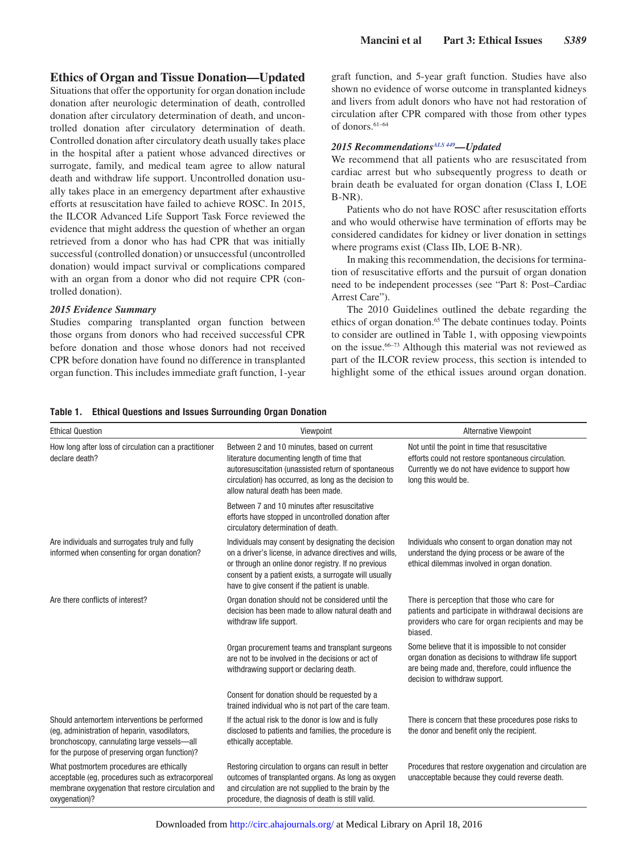## **Ethics of Organ and Tissue Donation—Updated**

Situations that offer the opportunity for organ donation include donation after neurologic determination of death, controlled donation after circulatory determination of death, and uncontrolled donation after circulatory determination of death. Controlled donation after circulatory death usually takes place in the hospital after a patient whose advanced directives or surrogate, family, and medical team agree to allow natural death and withdraw life support. Uncontrolled donation usually takes place in an emergency department after exhaustive efforts at resuscitation have failed to achieve ROSC. In 2015, the ILCOR Advanced Life Support Task Force reviewed the evidence that might address the question of whether an organ retrieved from a donor who has had CPR that was initially successful (controlled donation) or unsuccessful (uncontrolled donation) would impact survival or complications compared with an organ from a donor who did not require CPR (controlled donation).

#### *2015 Evidence Summary*

Studies comparing transplanted organ function between those organs from donors who had received successful CPR before donation and those whose donors had not received CPR before donation have found no difference in transplanted organ function. This includes immediate graft function, 1-year graft function, and 5-year graft function. Studies have also shown no evidence of worse outcome in transplanted kidneys and livers from adult donors who have not had restoration of circulation after CPR compared with those from other types of donors.<sup>61-64</sup>

#### *2015 Recommendations[ALS 449—](https://volunteer.heart.org/apps/pico/Pages/PublicComment.aspx?q=449)Updated*

We recommend that all patients who are resuscitated from cardiac arrest but who subsequently progress to death or brain death be evaluated for organ donation (Class I, LOE B-NR).

Patients who do not have ROSC after resuscitation efforts and who would otherwise have termination of efforts may be considered candidates for kidney or liver donation in settings where programs exist (Class IIb, LOE B-NR).

In making this recommendation, the decisions for termination of resuscitative efforts and the pursuit of organ donation need to be independent processes (see "Part 8: Post–Cardiac Arrest Care").

The 2010 Guidelines outlined the debate regarding the ethics of organ donation.<sup>65</sup> The debate continues today. Points to consider are outlined in Table 1, with opposing viewpoints on the issue.66–73 Although this material was not reviewed as part of the ILCOR review process, this section is intended to highlight some of the ethical issues around organ donation.

#### **Table 1. Ethical Questions and Issues Surrounding Organ Donation**

| <b>Ethical Question</b>                                                                                                                                                                        | Viewpoint                                                                                                                                                                                                                                                                        | <b>Alternative Viewpoint</b>                                                                                                                                                                      |
|------------------------------------------------------------------------------------------------------------------------------------------------------------------------------------------------|----------------------------------------------------------------------------------------------------------------------------------------------------------------------------------------------------------------------------------------------------------------------------------|---------------------------------------------------------------------------------------------------------------------------------------------------------------------------------------------------|
| How long after loss of circulation can a practitioner<br>declare death?                                                                                                                        | Between 2 and 10 minutes, based on current<br>literature documenting length of time that<br>autoresuscitation (unassisted return of spontaneous<br>circulation) has occurred, as long as the decision to<br>allow natural death has been made.                                   | Not until the point in time that resuscitative<br>efforts could not restore spontaneous circulation.<br>Currently we do not have evidence to support how<br>long this would be.                   |
|                                                                                                                                                                                                | Between 7 and 10 minutes after resuscitative<br>efforts have stopped in uncontrolled donation after<br>circulatory determination of death.                                                                                                                                       |                                                                                                                                                                                                   |
| Are individuals and surrogates truly and fully<br>informed when consenting for organ donation?                                                                                                 | Individuals may consent by designating the decision<br>on a driver's license, in advance directives and wills,<br>or through an online donor registry. If no previous<br>consent by a patient exists, a surrogate will usually<br>have to give consent if the patient is unable. | Individuals who consent to organ donation may not<br>understand the dying process or be aware of the<br>ethical dilemmas involved in organ donation.                                              |
| Are there conflicts of interest?                                                                                                                                                               | Organ donation should not be considered until the<br>decision has been made to allow natural death and<br>withdraw life support.                                                                                                                                                 | There is perception that those who care for<br>patients and participate in withdrawal decisions are<br>providers who care for organ recipients and may be<br>biased.                              |
|                                                                                                                                                                                                | Organ procurement teams and transplant surgeons<br>are not to be involved in the decisions or act of<br>withdrawing support or declaring death.                                                                                                                                  | Some believe that it is impossible to not consider<br>organ donation as decisions to withdraw life support<br>are being made and, therefore, could influence the<br>decision to withdraw support. |
|                                                                                                                                                                                                | Consent for donation should be requested by a<br>trained individual who is not part of the care team.                                                                                                                                                                            |                                                                                                                                                                                                   |
| Should antemortem interventions be performed<br>(eg, administration of heparin, vasodilators,<br>bronchoscopy, cannulating large vessels-all<br>for the purpose of preserving organ function)? | If the actual risk to the donor is low and is fully<br>disclosed to patients and families, the procedure is<br>ethically acceptable.                                                                                                                                             | There is concern that these procedures pose risks to<br>the donor and benefit only the recipient.                                                                                                 |
| What postmortem procedures are ethically<br>acceptable (eq. procedures such as extracorporeal<br>membrane oxygenation that restore circulation and<br>oxygenation)?                            | Restoring circulation to organs can result in better<br>outcomes of transplanted organs. As long as oxygen<br>and circulation are not supplied to the brain by the<br>procedure, the diagnosis of death is still valid.                                                          | Procedures that restore oxygenation and circulation are<br>unacceptable because they could reverse death.                                                                                         |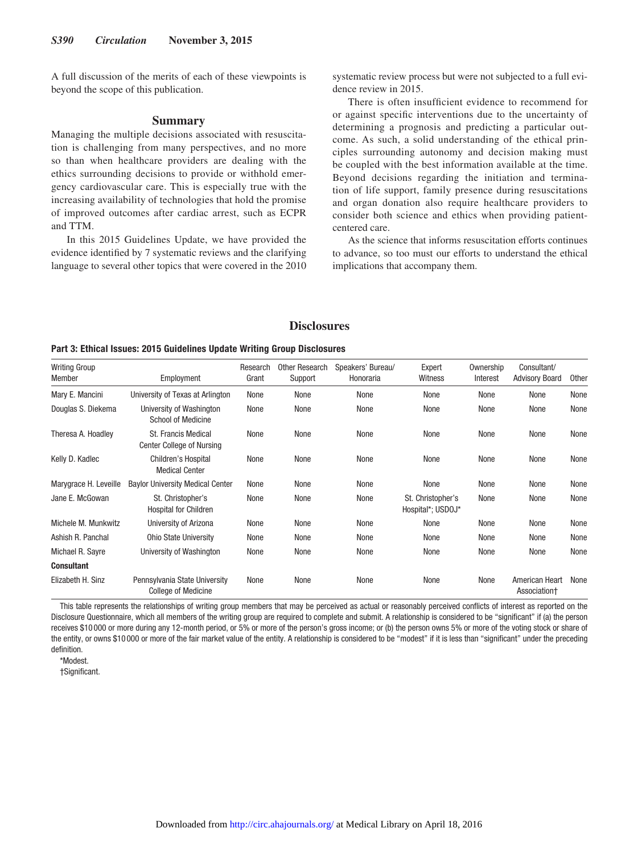A full discussion of the merits of each of these viewpoints is beyond the scope of this publication.

### **Summary**

Managing the multiple decisions associated with resuscitation is challenging from many perspectives, and no more so than when healthcare providers are dealing with the ethics surrounding decisions to provide or withhold emergency cardiovascular care. This is especially true with the increasing availability of technologies that hold the promise of improved outcomes after cardiac arrest, such as ECPR and TTM.

In this 2015 Guidelines Update, we have provided the evidence identified by 7 systematic reviews and the clarifying language to several other topics that were covered in the 2010

systematic review process but were not subjected to a full evidence review in 2015.

There is often insufficient evidence to recommend for or against specific interventions due to the uncertainty of determining a prognosis and predicting a particular outcome. As such, a solid understanding of the ethical principles surrounding autonomy and decision making must be coupled with the best information available at the time. Beyond decisions regarding the initiation and termination of life support, family presence during resuscitations and organ donation also require healthcare providers to consider both science and ethics when providing patientcentered care.

As the science that informs resuscitation efforts continues to advance, so too must our efforts to understand the ethical implications that accompany them.

### **Disclosures**

#### **Part 3: Ethical Issues: 2015 Guidelines Update Writing Group Disclosures**

| <b>Writing Group</b><br>Member | Employment                                                     | Research<br>Grant                    | <b>Other Research</b><br>Support | Speakers' Bureau/<br>Honoraria | Expert<br>Witness                      | Ownership<br>Interest | Consultant/<br><b>Advisory Board</b> | <b>Other</b> |
|--------------------------------|----------------------------------------------------------------|--------------------------------------|----------------------------------|--------------------------------|----------------------------------------|-----------------------|--------------------------------------|--------------|
| Mary E. Mancini                | University of Texas at Arlington                               | None                                 | None                             | None                           | None                                   | None                  | None                                 | None         |
| Douglas S. Diekema             | University of Washington<br><b>School of Medicine</b>          | None                                 | None                             | None                           | None                                   | None                  | None                                 | None         |
| Theresa A. Hoadley             | <b>St. Francis Medical</b><br><b>Center College of Nursing</b> | None<br>None<br>None<br>None<br>None |                                  | None                           | None                                   |                       |                                      |              |
| Kelly D. Kadlec                | Children's Hospital<br><b>Medical Center</b>                   | None                                 | None                             | None                           | None                                   | None                  | None                                 | None         |
| Marygrace H. Leveille          | <b>Baylor University Medical Center</b>                        | None                                 | None                             | None                           | None                                   | None                  | None                                 | None         |
| Jane E. McGowan                | St. Christopher's<br><b>Hospital for Children</b>              | None                                 | None                             | None                           | St. Christopher's<br>Hospital*; USDOJ* | None                  | None                                 | None         |
| Michele M. Munkwitz            | University of Arizona                                          | None                                 | None                             | None                           | None                                   | None                  | None                                 | None         |
| Ashish R. Panchal              | <b>Ohio State University</b>                                   | None                                 | None                             | None                           | None                                   | None                  | None                                 | None         |
| Michael R. Sayre               | University of Washington                                       | None                                 | None                             | None                           | None                                   | None                  | None                                 | None         |
| <b>Consultant</b>              |                                                                |                                      |                                  |                                |                                        |                       |                                      |              |
| Elizabeth H. Sinz              | Pennsylvania State University<br><b>College of Medicine</b>    | None                                 | None                             | None                           | None                                   | None                  | American Heart<br>Association+       | None         |

This table represents the relationships of writing group members that may be perceived as actual or reasonably perceived conflicts of interest as reported on the Disclosure Questionnaire, which all members of the writing group are required to complete and submit. A relationship is considered to be "significant" if (a) the person receives \$10 000 or more during any 12-month period, or 5% or more of the person's gross income; or (b) the person owns 5% or more of the voting stock or share of the entity, or owns \$10 000 or more of the fair market value of the entity. A relationship is considered to be "modest" if it is less than "significant" under the preceding definition.

\*Modest.

†Significant.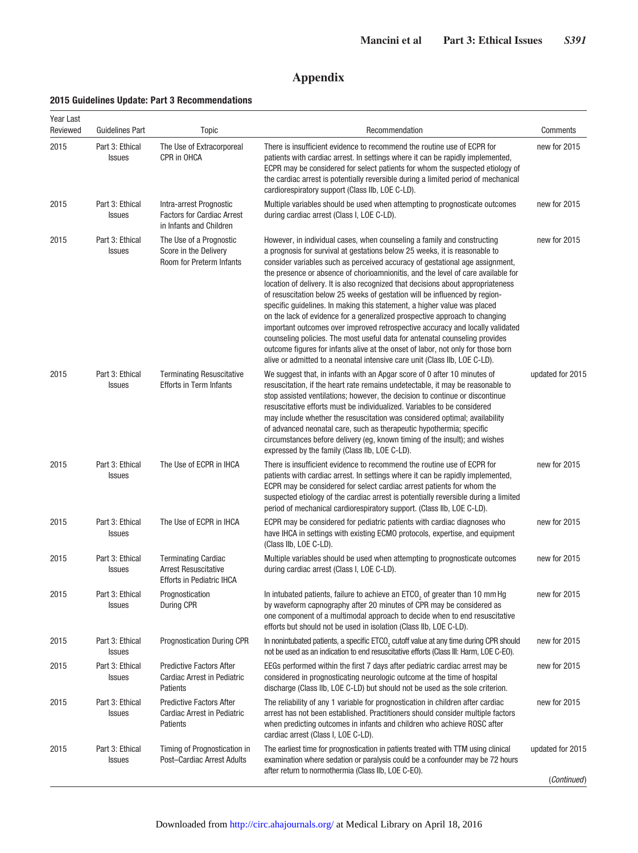## **Appendix**

### **2015 Guidelines Update: Part 3 Recommendations**

| Year Last<br>Reviewed | <b>Guidelines Part</b>           | Topic                                                                                         | Recommendation                                                                                                                                                                                                                                                                                                                                                                                                                                                                                                                                                                                                                                                                                                                                                                                                                                                                                                                                                                          | Comments         |
|-----------------------|----------------------------------|-----------------------------------------------------------------------------------------------|-----------------------------------------------------------------------------------------------------------------------------------------------------------------------------------------------------------------------------------------------------------------------------------------------------------------------------------------------------------------------------------------------------------------------------------------------------------------------------------------------------------------------------------------------------------------------------------------------------------------------------------------------------------------------------------------------------------------------------------------------------------------------------------------------------------------------------------------------------------------------------------------------------------------------------------------------------------------------------------------|------------------|
| 2015                  | Part 3: Ethical<br><b>Issues</b> | The Use of Extracorporeal<br>CPR in OHCA                                                      | There is insufficient evidence to recommend the routine use of ECPR for<br>patients with cardiac arrest. In settings where it can be rapidly implemented,<br>ECPR may be considered for select patients for whom the suspected etiology of<br>the cardiac arrest is potentially reversible during a limited period of mechanical<br>cardiorespiratory support (Class IIb, LOE C-LD).                                                                                                                                                                                                                                                                                                                                                                                                                                                                                                                                                                                                    | new for 2015     |
| 2015                  | Part 3: Ethical<br><b>Issues</b> | Intra-arrest Prognostic<br><b>Factors for Cardiac Arrest</b><br>in Infants and Children       | Multiple variables should be used when attempting to prognosticate outcomes<br>during cardiac arrest (Class I, LOE C-LD).                                                                                                                                                                                                                                                                                                                                                                                                                                                                                                                                                                                                                                                                                                                                                                                                                                                               | new for 2015     |
| 2015                  | Part 3: Ethical<br><b>Issues</b> | The Use of a Prognostic<br>Score in the Delivery<br>Room for Preterm Infants                  | However, in individual cases, when counseling a family and constructing<br>a prognosis for survival at gestations below 25 weeks, it is reasonable to<br>consider variables such as perceived accuracy of gestational age assignment,<br>the presence or absence of chorioamnionitis, and the level of care available for<br>location of delivery. It is also recognized that decisions about appropriateness<br>of resuscitation below 25 weeks of gestation will be influenced by region-<br>specific guidelines. In making this statement, a higher value was placed<br>on the lack of evidence for a generalized prospective approach to changing<br>important outcomes over improved retrospective accuracy and locally validated<br>counseling policies. The most useful data for antenatal counseling provides<br>outcome figures for infants alive at the onset of labor, not only for those born<br>alive or admitted to a neonatal intensive care unit (Class IIb, LOE C-LD). | new for 2015     |
| 2015                  | Part 3: Ethical<br><b>Issues</b> | <b>Terminating Resuscitative</b><br><b>Efforts in Term Infants</b>                            | We suggest that, in infants with an Apgar score of 0 after 10 minutes of<br>resuscitation, if the heart rate remains undetectable, it may be reasonable to<br>stop assisted ventilations; however, the decision to continue or discontinue<br>resuscitative efforts must be individualized. Variables to be considered<br>may include whether the resuscitation was considered optimal; availability<br>of advanced neonatal care, such as therapeutic hypothermia; specific<br>circumstances before delivery (eg, known timing of the insult); and wishes<br>expressed by the family (Class IIb, LOE C-LD).                                                                                                                                                                                                                                                                                                                                                                            | updated for 2015 |
| 2015                  | Part 3: Ethical<br><b>Issues</b> | The Use of ECPR in IHCA                                                                       | There is insufficient evidence to recommend the routine use of ECPR for<br>patients with cardiac arrest. In settings where it can be rapidly implemented,<br>ECPR may be considered for select cardiac arrest patients for whom the<br>suspected etiology of the cardiac arrest is potentially reversible during a limited<br>period of mechanical cardiorespiratory support. (Class IIb, LOE C-LD).                                                                                                                                                                                                                                                                                                                                                                                                                                                                                                                                                                                    | new for 2015     |
| 2015                  | Part 3: Ethical<br><b>Issues</b> | The Use of ECPR in IHCA                                                                       | ECPR may be considered for pediatric patients with cardiac diagnoses who<br>have IHCA in settings with existing ECMO protocols, expertise, and equipment<br>(Class IIb, LOE C-LD).                                                                                                                                                                                                                                                                                                                                                                                                                                                                                                                                                                                                                                                                                                                                                                                                      | new for 2015     |
| 2015                  | Part 3: Ethical<br><b>Issues</b> | <b>Terminating Cardiac</b><br><b>Arrest Resuscitative</b><br><b>Efforts in Pediatric IHCA</b> | Multiple variables should be used when attempting to prognosticate outcomes<br>during cardiac arrest (Class I, LOE C-LD).                                                                                                                                                                                                                                                                                                                                                                                                                                                                                                                                                                                                                                                                                                                                                                                                                                                               | new for 2015     |
| 2015                  | Part 3: Ethical<br><b>Issues</b> | Prognostication<br>During CPR                                                                 | In intubated patients, failure to achieve an ETCO <sub>2</sub> of greater than 10 mm Hg<br>by waveform capnography after 20 minutes of CPR may be considered as<br>one component of a multimodal approach to decide when to end resuscitative<br>efforts but should not be used in isolation (Class IIb, LOE C-LD).                                                                                                                                                                                                                                                                                                                                                                                                                                                                                                                                                                                                                                                                     | new for 2015     |
| 2015                  | Part 3: Ethical<br><b>Issues</b> | Prognostication During CPR                                                                    | In nonintubated patients, a specific ETCO <sub>2</sub> cutoff value at any time during CPR should<br>not be used as an indication to end resuscitative efforts (Class III: Harm, LOE C-EO).                                                                                                                                                                                                                                                                                                                                                                                                                                                                                                                                                                                                                                                                                                                                                                                             | new for 2015     |
| 2015                  | Part 3: Ethical<br><b>Issues</b> | <b>Predictive Factors After</b><br>Cardiac Arrest in Pediatric<br>Patients                    | EEGs performed within the first 7 days after pediatric cardiac arrest may be<br>considered in prognosticating neurologic outcome at the time of hospital<br>discharge (Class IIb, LOE C-LD) but should not be used as the sole criterion.                                                                                                                                                                                                                                                                                                                                                                                                                                                                                                                                                                                                                                                                                                                                               | new for 2015     |
| 2015                  | Part 3: Ethical<br><b>Issues</b> | <b>Predictive Factors After</b><br>Cardiac Arrest in Pediatric<br>Patients                    | The reliability of any 1 variable for prognostication in children after cardiac<br>arrest has not been established. Practitioners should consider multiple factors<br>when predicting outcomes in infants and children who achieve ROSC after<br>cardiac arrest (Class I, LOE C-LD).                                                                                                                                                                                                                                                                                                                                                                                                                                                                                                                                                                                                                                                                                                    | new for 2015     |
| 2015                  | Part 3: Ethical<br><b>Issues</b> | Timing of Prognostication in<br>Post-Cardiac Arrest Adults                                    | The earliest time for prognostication in patients treated with TTM using clinical<br>examination where sedation or paralysis could be a confounder may be 72 hours<br>after return to normothermia (Class IIb, LOE C-EO).                                                                                                                                                                                                                                                                                                                                                                                                                                                                                                                                                                                                                                                                                                                                                               | updated for 2015 |
|                       |                                  |                                                                                               |                                                                                                                                                                                                                                                                                                                                                                                                                                                                                                                                                                                                                                                                                                                                                                                                                                                                                                                                                                                         | (Continued)      |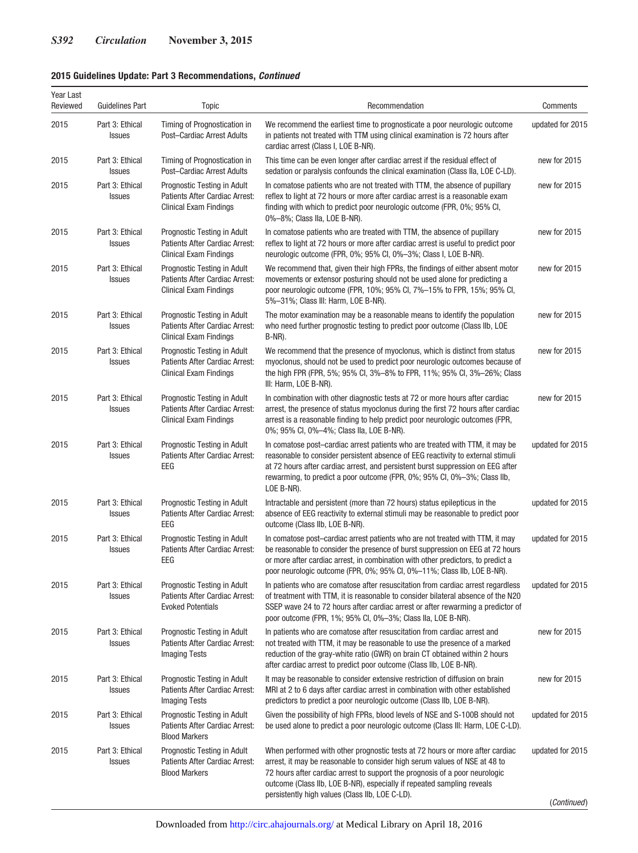### **2015 Guidelines Update: Part 3 Recommendations,** *Continued*

| Year Last<br>Reviewed | Guidelines Part                  | Topic                                                                                                 | Recommendation                                                                                                                                                                                                                                                                                                                                                         | Comments         |
|-----------------------|----------------------------------|-------------------------------------------------------------------------------------------------------|------------------------------------------------------------------------------------------------------------------------------------------------------------------------------------------------------------------------------------------------------------------------------------------------------------------------------------------------------------------------|------------------|
| 2015                  | Part 3: Ethical<br><b>Issues</b> | Timing of Prognostication in<br>Post-Cardiac Arrest Adults                                            | We recommend the earliest time to prognosticate a poor neurologic outcome<br>in patients not treated with TTM using clinical examination is 72 hours after<br>cardiac arrest (Class I, LOE B-NR).                                                                                                                                                                      | updated for 2015 |
| 2015                  | Part 3: Ethical<br><b>Issues</b> | Timing of Prognostication in<br>Post-Cardiac Arrest Adults                                            | This time can be even longer after cardiac arrest if the residual effect of<br>sedation or paralysis confounds the clinical examination (Class IIa, LOE C-LD).                                                                                                                                                                                                         | new for 2015     |
| 2015                  | Part 3: Ethical<br><b>Issues</b> | Prognostic Testing in Adult<br>Patients After Cardiac Arrest:<br><b>Clinical Exam Findings</b>        | In comatose patients who are not treated with TTM, the absence of pupillary<br>reflex to light at 72 hours or more after cardiac arrest is a reasonable exam<br>finding with which to predict poor neurologic outcome (FPR, 0%; 95% CI,<br>0%-8%; Class IIa, LOE B-NR).                                                                                                | new for 2015     |
| 2015                  | Part 3: Ethical<br><b>Issues</b> | Prognostic Testing in Adult<br><b>Patients After Cardiac Arrest:</b><br><b>Clinical Exam Findings</b> | In comatose patients who are treated with TTM, the absence of pupillary<br>reflex to light at 72 hours or more after cardiac arrest is useful to predict poor<br>neurologic outcome (FPR, 0%; 95% CI, 0%-3%; Class I, LOE B-NR).                                                                                                                                       | new for 2015     |
| 2015                  | Part 3: Ethical<br><b>Issues</b> | Prognostic Testing in Adult<br>Patients After Cardiac Arrest:<br><b>Clinical Exam Findings</b>        | We recommend that, given their high FPRs, the findings of either absent motor<br>movements or extensor posturing should not be used alone for predicting a<br>poor neurologic outcome (FPR, 10%; 95% Cl, 7%-15% to FPR, 15%; 95% Cl,<br>5%-31%; Class III: Harm, LOE B-NR).                                                                                            | new for 2015     |
| 2015                  | Part 3: Ethical<br><b>Issues</b> | Prognostic Testing in Adult<br>Patients After Cardiac Arrest:<br><b>Clinical Exam Findings</b>        | The motor examination may be a reasonable means to identify the population<br>who need further prognostic testing to predict poor outcome (Class IIb, LOE<br>B-NR).                                                                                                                                                                                                    | new for 2015     |
| 2015                  | Part 3: Ethical<br><b>Issues</b> | Prognostic Testing in Adult<br>Patients After Cardiac Arrest:<br><b>Clinical Exam Findings</b>        | We recommend that the presence of myoclonus, which is distinct from status<br>myoclonus, should not be used to predict poor neurologic outcomes because of<br>the high FPR (FPR, 5%; 95% Cl, 3%-8% to FPR, 11%; 95% Cl, 3%-26%; Class<br>III: Harm, LOE B-NR).                                                                                                         | new for 2015     |
| 2015                  | Part 3: Ethical<br><b>Issues</b> | Prognostic Testing in Adult<br>Patients After Cardiac Arrest:<br><b>Clinical Exam Findings</b>        | In combination with other diagnostic tests at 72 or more hours after cardiac<br>arrest, the presence of status myoclonus during the first 72 hours after cardiac<br>arrest is a reasonable finding to help predict poor neurologic outcomes (FPR,<br>0%; 95% CI, 0%-4%; Class IIa, LOE B-NR).                                                                          | new for 2015     |
| 2015                  | Part 3: Ethical<br><b>Issues</b> | Prognostic Testing in Adult<br><b>Patients After Cardiac Arrest:</b><br>EEG                           | In comatose post-cardiac arrest patients who are treated with TTM, it may be<br>reasonable to consider persistent absence of EEG reactivity to external stimuli<br>at 72 hours after cardiac arrest, and persistent burst suppression on EEG after<br>rewarming, to predict a poor outcome (FPR, 0%; 95% CI, 0%-3%; Class IIb,<br>LOE B-NR).                           | updated for 2015 |
| 2015                  | Part 3: Ethical<br><b>Issues</b> | Prognostic Testing in Adult<br>Patients After Cardiac Arrest:<br>EEG                                  | Intractable and persistent (more than 72 hours) status epilepticus in the<br>absence of EEG reactivity to external stimuli may be reasonable to predict poor<br>outcome (Class IIb, LOE B-NR).                                                                                                                                                                         | updated for 2015 |
| 2015                  | Part 3: Ethical<br><b>Issues</b> | Prognostic Testing in Adult<br>Patients After Cardiac Arrest:<br>EEG                                  | In comatose post-cardiac arrest patients who are not treated with TTM, it may<br>be reasonable to consider the presence of burst suppression on EEG at 72 hours<br>or more after cardiac arrest, in combination with other predictors, to predict a<br>poor neurologic outcome (FPR, 0%; 95% CI, 0%-11%; Class IIb, LOE B-NR).                                         | updated for 2015 |
| 2015                  | Part 3: Ethical<br><b>Issues</b> | Prognostic Testing in Adult<br>Patients After Cardiac Arrest:<br><b>Evoked Potentials</b>             | In patients who are comatose after resuscitation from cardiac arrest regardless<br>of treatment with TTM, it is reasonable to consider bilateral absence of the N20<br>SSEP wave 24 to 72 hours after cardiac arrest or after rewarming a predictor of<br>poor outcome (FPR, 1%; 95% CI, 0%-3%; Class IIa, LOE B-NR).                                                  | updated for 2015 |
| 2015                  | Part 3: Ethical<br><b>Issues</b> | Prognostic Testing in Adult<br>Patients After Cardiac Arrest:<br><b>Imaging Tests</b>                 | In patients who are comatose after resuscitation from cardiac arrest and<br>not treated with TTM, it may be reasonable to use the presence of a marked<br>reduction of the gray-white ratio (GWR) on brain CT obtained within 2 hours<br>after cardiac arrest to predict poor outcome (Class IIb, LOE B-NR).                                                           | new for 2015     |
| 2015                  | Part 3: Ethical<br><b>Issues</b> | Prognostic Testing in Adult<br>Patients After Cardiac Arrest:<br><b>Imaging Tests</b>                 | It may be reasonable to consider extensive restriction of diffusion on brain<br>MRI at 2 to 6 days after cardiac arrest in combination with other established<br>predictors to predict a poor neurologic outcome (Class IIb, LOE B-NR).                                                                                                                                | new for 2015     |
| 2015                  | Part 3: Ethical<br><b>Issues</b> | Prognostic Testing in Adult<br>Patients After Cardiac Arrest:<br><b>Blood Markers</b>                 | Given the possibility of high FPRs, blood levels of NSE and S-100B should not<br>be used alone to predict a poor neurologic outcome (Class III: Harm, LOE C-LD).                                                                                                                                                                                                       | updated for 2015 |
| 2015                  | Part 3: Ethical<br><b>Issues</b> | Prognostic Testing in Adult<br>Patients After Cardiac Arrest:<br><b>Blood Markers</b>                 | When performed with other prognostic tests at 72 hours or more after cardiac<br>arrest, it may be reasonable to consider high serum values of NSE at 48 to<br>72 hours after cardiac arrest to support the prognosis of a poor neurologic<br>outcome (Class IIb, LOE B-NR), especially if repeated sampling reveals<br>persistently high values (Class IIb, LOE C-LD). | updated for 2015 |
|                       |                                  |                                                                                                       |                                                                                                                                                                                                                                                                                                                                                                        | (Continued)      |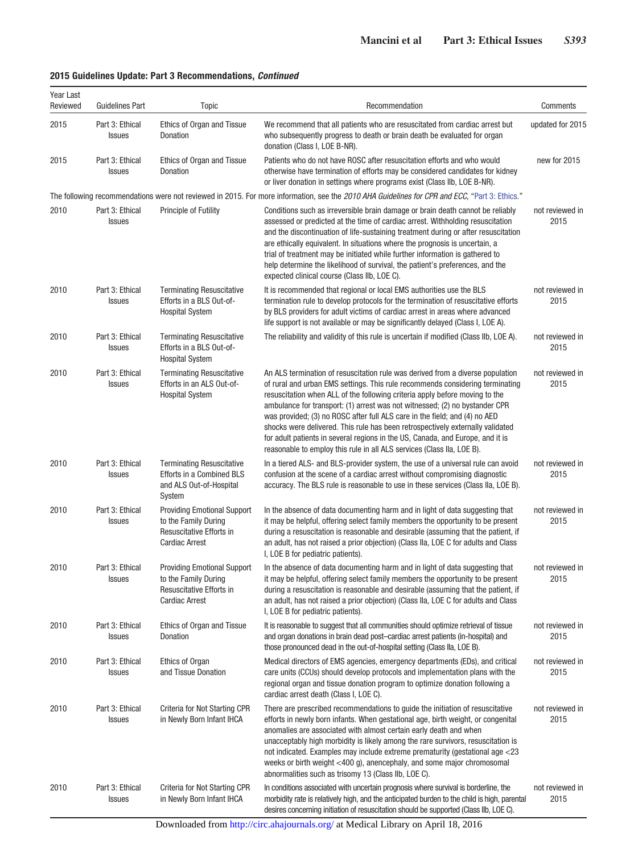#### 2015 Part 3: Ethical Issues Ethics of Organ and Tissue Donation We recommend that all patients who are resuscitated from cardiac arrest but who subsequently progress to death or brain death be evaluated for organ donation (Class I, LOE B-NR). updated for 2015 2015 Part 3: Ethical Issues Ethics of Organ and Tissue Donation Patients who do not have ROSC after resuscitation efforts and who would otherwise have termination of efforts may be considered candidates for kidney or liver donation in settings where programs exist (Class IIb, LOE B-NR). new for 2015 The following recommendations were not reviewed in 2015. For more information, see the 2010 AHA Guidelines for CPR and ECC, ["Part 3: Ethics](http://circ.ahajournals.org/content/122/18_suppl_3/S665.full.pdf+html)." 2010 Part 3: Ethical Issues Principle of Futility Conditions such as irreversible brain damage or brain death cannot be reliably assessed or predicted at the time of cardiac arrest. Withholding resuscitation and the discontinuation of life-sustaining treatment during or after resuscitation are ethically equivalent. In situations where the prognosis is uncertain, a trial of treatment may be initiated while further information is gathered to help determine the likelihood of survival, the patient's preferences, and the expected clinical course (Class IIb, LOE C). not reviewed in 2015 2010 Part 3: Ethical Issues Terminating Resuscitative Efforts in a BLS Out-of-Hospital System It is recommended that regional or local EMS authorities use the BLS termination rule to develop protocols for the termination of resuscitative efforts by BLS providers for adult victims of cardiac arrest in areas where advanced life support is not available or may be significantly delayed (Class I, LOE A). not reviewed in 2015 2010 Part 3: Ethical Issues Terminating Resuscitative Efforts in a BLS Out-of-Hospital System The reliability and validity of this rule is uncertain if modified (Class IIb, LOE A). not reviewed in 2015 2010 Part 3: Ethical Issues Terminating Resuscitative Efforts in an ALS Out-of-Hospital System An ALS termination of resuscitation rule was derived from a diverse population of rural and urban EMS settings. This rule recommends considering terminating resuscitation when ALL of the following criteria apply before moving to the ambulance for transport: (1) arrest was not witnessed; (2) no bystander CPR was provided; (3) no ROSC after full ALS care in the field; and (4) no AED shocks were delivered. This rule has been retrospectively externally validated for adult patients in several regions in the US, Canada, and Europe, and it is reasonable to employ this rule in all ALS services (Class IIa, LOE B). not reviewed in 2015 2010 Part 3: Ethical Issues Terminating Resuscitative Efforts in a Combined BLS and ALS Out-of-Hospital System In a tiered ALS- and BLS-provider system, the use of a universal rule can avoid confusion at the scene of a cardiac arrest without compromising diagnostic accuracy. The BLS rule is reasonable to use in these services (Class IIa, LOE B). not reviewed in 2015 2010 Part 3: Ethical Issues Providing Emotional Support to the Family During Resuscitative Efforts in Cardiac Arrest In the absence of data documenting harm and in light of data suggesting that it may be helpful, offering select family members the opportunity to be present during a resuscitation is reasonable and desirable (assuming that the patient, if an adult, has not raised a prior objection) (Class IIa, LOE C for adults and Class I, LOE B for pediatric patients). not reviewed in 2015 2010 Part 3: Ethical Issues Providing Emotional Support to the Family During Resuscitative Efforts in Cardiac Arrest In the absence of data documenting harm and in light of data suggesting that it may be helpful, offering select family members the opportunity to be present during a resuscitation is reasonable and desirable (assuming that the patient, if an adult, has not raised a prior objection) (Class IIa, LOE C for adults and Class I, LOE B for pediatric patients). not reviewed in 2015 2010 Part 3: Ethical Issues Ethics of Organ and Tissue Donation It is reasonable to suggest that all communities should optimize retrieval of tissue and organ donations in brain dead post–cardiac arrest patients (in-hospital) and those pronounced dead in the out-of-hospital setting (Class IIa, LOE B). not reviewed in 2015 2010 Part 3: Ethical Issues Ethics of Organ and Tissue Donation Medical directors of EMS agencies, emergency departments (EDs), and critical care units (CCUs) should develop protocols and implementation plans with the regional organ and tissue donation program to optimize donation following a cardiac arrest death (Class I, LOE C). not reviewed in 2015 2010 Part 3: Ethical Issues Criteria for Not Starting CPR in Newly Born Infant IHCA There are prescribed recommendations to guide the initiation of resuscitative efforts in newly born infants. When gestational age, birth weight, or congenital anomalies are associated with almost certain early death and when unacceptably high morbidity is likely among the rare survivors, resuscitation is not indicated. Examples may include extreme prematurity (gestational age <23 weeks or birth weight <400 g), anencephaly, and some major chromosomal abnormalities such as trisomy 13 (Class IIb, LOE C). not reviewed in 2015 2010 Part 3: Ethical Issues Criteria for Not Starting CPR in Newly Born Infant IHCA In conditions associated with uncertain prognosis where survival is borderline, the morbidity rate is relatively high, and the anticipated burden to the child is high, parental desires concerning initiation of resuscitation should be supported (Class IIb, LOE C). not reviewed in 2015 Year Last Reviewed Guidelines Part Topic Recommendation Comments

#### **2015 Guidelines Update: Part 3 Recommendations,** *Continued*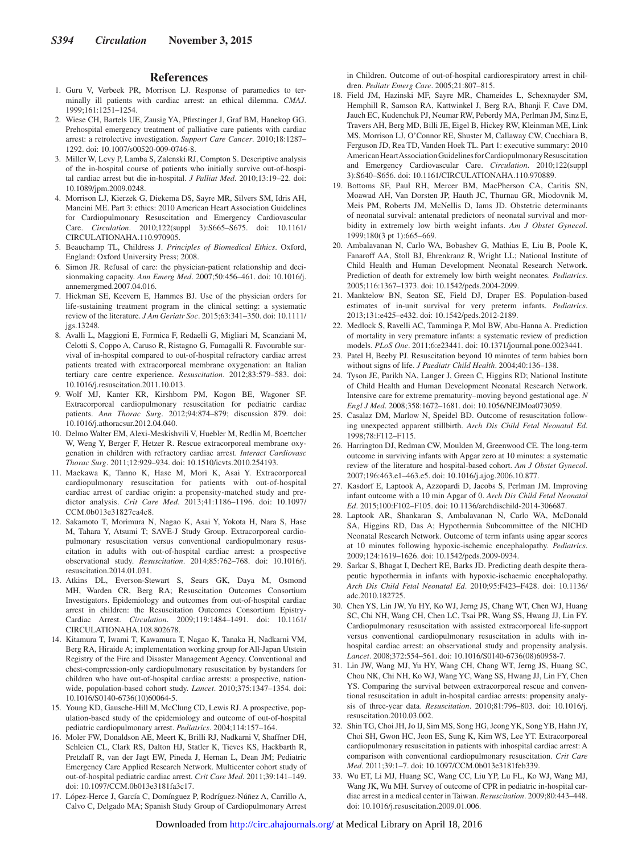#### **References**

- 1. Guru V, Verbeek PR, Morrison LJ. Response of paramedics to terminally ill patients with cardiac arrest: an ethical dilemma. *CMAJ*. 1999;161:1251–1254.
- 2. Wiese CH, Bartels UE, Zausig YA, Pfirstinger J, Graf BM, Hanekop GG. Prehospital emergency treatment of palliative care patients with cardiac arrest: a retrolective investigation. *Support Care Cancer*. 2010;18:1287– 1292. doi: 10.1007/s00520-009-0746-8.
- 3. Miller W, Levy P, Lamba S, Zalenski RJ, Compton S. Descriptive analysis of the in-hospital course of patients who initially survive out-of-hospital cardiac arrest but die in-hospital. *J Palliat Med*. 2010;13:19–22. doi: 10.1089/jpm.2009.0248.
- 4. Morrison LJ, Kierzek G, Diekema DS, Sayre MR, Silvers SM, Idris AH, Mancini ME. Part 3: ethics: 2010 American Heart Association Guidelines for Cardiopulmonary Resuscitation and Emergency Cardiovascular Care. *Circulation*. 2010;122(suppl 3):S665–S675. doi: 10.1161/ CIRCULATIONAHA.110.970905.
- 5. Beauchamp TL, Childress J. *Principles of Biomedical Ethics*. Oxford, England: Oxford University Press; 2008.
- 6. Simon JR. Refusal of care: the physician-patient relationship and decisionmaking capacity. *Ann Emerg Med*. 2007;50:456–461. doi: 10.1016/j. annemergmed.2007.04.016.
- 7. Hickman SE, Keevern E, Hammes BJ. Use of the physician orders for life-sustaining treatment program in the clinical setting: a systematic review of the literature. *J Am Geriatr Soc*. 2015;63:341–350. doi: 10.1111/ jgs.13248.
- 8. Avalli L, Maggioni E, Formica F, Redaelli G, Migliari M, Scanziani M, Celotti S, Coppo A, Caruso R, Ristagno G, Fumagalli R. Favourable survival of in-hospital compared to out-of-hospital refractory cardiac arrest patients treated with extracorporeal membrane oxygenation: an Italian tertiary care centre experience. *Resuscitation*. 2012;83:579–583. doi: 10.1016/j.resuscitation.2011.10.013.
- 9. Wolf MJ, Kanter KR, Kirshbom PM, Kogon BE, Wagoner SF. Extracorporeal cardiopulmonary resuscitation for pediatric cardiac patients. *Ann Thorac Surg*. 2012;94:874–879; discussion 879. doi: 10.1016/j.athoracsur.2012.04.040.
- 10. Delmo Walter EM, Alexi-Meskishvili V, Huebler M, Redlin M, Boettcher W, Weng Y, Berger F, Hetzer R. Rescue extracorporeal membrane oxygenation in children with refractory cardiac arrest. *Interact Cardiovasc Thorac Surg*. 2011;12:929–934. doi: 10.1510/icvts.2010.254193.
- 11. Maekawa K, Tanno K, Hase M, Mori K, Asai Y. Extracorporeal cardiopulmonary resuscitation for patients with out-of-hospital cardiac arrest of cardiac origin: a propensity-matched study and predictor analysis. *Crit Care Med*. 2013;41:1186–1196. doi: 10.1097/ CCM.0b013e31827ca4c8.
- 12. Sakamoto T, Morimura N, Nagao K, Asai Y, Yokota H, Nara S, Hase M, Tahara Y, Atsumi T; SAVE-J Study Group. Extracorporeal cardiopulmonary resuscitation versus conventional cardiopulmonary resuscitation in adults with out-of-hospital cardiac arrest: a prospective observational study. *Resuscitation*. 2014;85:762–768. doi: 10.1016/j. resuscitation.2014.01.031.
- 13. Atkins DL, Everson-Stewart S, Sears GK, Daya M, Osmond MH, Warden CR, Berg RA; Resuscitation Outcomes Consortium Investigators. Epidemiology and outcomes from out-of-hospital cardiac arrest in children: the Resuscitation Outcomes Consortium Epistry-Cardiac Arrest. *Circulation*. 2009;119:1484–1491. doi: 10.1161/ CIRCULATIONAHA.108.802678.
- 14. Kitamura T, Iwami T, Kawamura T, Nagao K, Tanaka H, Nadkarni VM, Berg RA, Hiraide A; implementation working group for All-Japan Utstein Registry of the Fire and Disaster Management Agency. Conventional and chest-compression-only cardiopulmonary resuscitation by bystanders for children who have out-of-hospital cardiac arrests: a prospective, nationwide, population-based cohort study. *Lancet*. 2010;375:1347–1354. doi: 10.1016/S0140-6736(10)60064-5.
- 15. Young KD, Gausche-Hill M, McClung CD, Lewis RJ. A prospective, population-based study of the epidemiology and outcome of out-of-hospital pediatric cardiopulmonary arrest. *Pediatrics*. 2004;114:157–164.
- 16. Moler FW, Donaldson AE, Meert K, Brilli RJ, Nadkarni V, Shaffner DH, Schleien CL, Clark RS, Dalton HJ, Statler K, Tieves KS, Hackbarth R, Pretzlaff R, van der Jagt EW, Pineda J, Hernan L, Dean JM; Pediatric Emergency Care Applied Research Network. Multicenter cohort study of out-of-hospital pediatric cardiac arrest. *Crit Care Med*. 2011;39:141–149. doi: 10.1097/CCM.0b013e3181fa3c17.
- 17. López-Herce J, García C, Domínguez P, Rodríguez-Núñez A, Carrillo A, Calvo C, Delgado MA; Spanish Study Group of Cardiopulmonary Arrest

in Children. Outcome of out-of-hospital cardiorespiratory arrest in children. *Pediatr Emerg Care*. 2005;21:807–815.

- 18. Field JM, Hazinski MF, Sayre MR, Chameides L, Schexnayder SM, Hemphill R, Samson RA, Kattwinkel J, Berg RA, Bhanji F, Cave DM, Jauch EC, Kudenchuk PJ, Neumar RW, Peberdy MA, Perlman JM, Sinz E, Travers AH, Berg MD, Billi JE, Eigel B, Hickey RW, Kleinman ME, Link MS, Morrison LJ, O'Connor RE, Shuster M, Callaway CW, Cucchiara B, Ferguson JD, Rea TD, Vanden Hoek TL. Part 1: executive summary: 2010 American Heart Association Guidelines for Cardiopulmonary Resuscitation and Emergency Cardiovascular Care. *Circulation*. 2010;122(suppl 3):S640–S656. doi: 10.1161/CIRCULATIONAHA.110.970889.
- 19. Bottoms SF, Paul RH, Mercer BM, MacPherson CA, Caritis SN, Moawad AH, Van Dorsten JP, Hauth JC, Thurnau GR, Miodovnik M, Meis PM, Roberts JM, McNellis D, Iams JD. Obstetric determinants of neonatal survival: antenatal predictors of neonatal survival and morbidity in extremely low birth weight infants. *Am J Obstet Gynecol*. 1999;180(3 pt 1):665–669.
- 20. Ambalavanan N, Carlo WA, Bobashev G, Mathias E, Liu B, Poole K, Fanaroff AA, Stoll BJ, Ehrenkranz R, Wright LL; National Institute of Child Health and Human Development Neonatal Research Network. Prediction of death for extremely low birth weight neonates. *Pediatrics*. 2005;116:1367–1373. doi: 10.1542/peds.2004-2099.
- 21. Manktelow BN, Seaton SE, Field DJ, Draper ES. Population-based estimates of in-unit survival for very preterm infants. *Pediatrics*. 2013;131:e425–e432. doi: 10.1542/peds.2012-2189.
- 22. Medlock S, Ravelli AC, Tamminga P, Mol BW, Abu-Hanna A. Prediction of mortality in very premature infants: a systematic review of prediction models. *PLoS One*. 2011;6:e23441. doi: 10.1371/journal.pone.0023441.
- 23. Patel H, Beeby PJ. Resuscitation beyond 10 minutes of term babies born without signs of life. *J Paediatr Child Health*. 2004;40:136–138.
- 24. Tyson JE, Parikh NA, Langer J, Green C, Higgins RD; National Institute of Child Health and Human Development Neonatal Research Network. Intensive care for extreme prematurity–moving beyond gestational age. *N Engl J Med*. 2008;358:1672–1681. doi: 10.1056/NEJMoa073059.
- 25. Casalaz DM, Marlow N, Speidel BD. Outcome of resuscitation following unexpected apparent stillbirth. *Arch Dis Child Fetal Neonatal Ed*. 1998;78:F112–F115.
- 26. Harrington DJ, Redman CW, Moulden M, Greenwood CE. The long-term outcome in surviving infants with Apgar zero at 10 minutes: a systematic review of the literature and hospital-based cohort. *Am J Obstet Gynecol*. 2007;196:463.e1–463.e5. doi: 10.1016/j.ajog.2006.10.877.
- 27. Kasdorf E, Laptook A, Azzopardi D, Jacobs S, Perlman JM. Improving infant outcome with a 10 min Apgar of 0. *Arch Dis Child Fetal Neonatal Ed*. 2015;100:F102–F105. doi: 10.1136/archdischild-2014-306687.
- 28. Laptook AR, Shankaran S, Ambalavanan N, Carlo WA, McDonald SA, Higgins RD, Das A; Hypothermia Subcommittee of the NICHD Neonatal Research Network. Outcome of term infants using apgar scores at 10 minutes following hypoxic-ischemic encephalopathy. *Pediatrics*. 2009;124:1619–1626. doi: 10.1542/peds.2009-0934.
- 29. Sarkar S, Bhagat I, Dechert RE, Barks JD. Predicting death despite therapeutic hypothermia in infants with hypoxic-ischaemic encephalopathy. *Arch Dis Child Fetal Neonatal Ed*. 2010;95:F423–F428. doi: 10.1136/ adc.2010.182725.
- 30. Chen YS, Lin JW, Yu HY, Ko WJ, Jerng JS, Chang WT, Chen WJ, Huang SC, Chi NH, Wang CH, Chen LC, Tsai PR, Wang SS, Hwang JJ, Lin FY. Cardiopulmonary resuscitation with assisted extracorporeal life-support versus conventional cardiopulmonary resuscitation in adults with inhospital cardiac arrest: an observational study and propensity analysis. *Lancet*. 2008;372:554–561. doi: 10.1016/S0140-6736(08)60958-7.
- 31. Lin JW, Wang MJ, Yu HY, Wang CH, Chang WT, Jerng JS, Huang SC, Chou NK, Chi NH, Ko WJ, Wang YC, Wang SS, Hwang JJ, Lin FY, Chen YS. Comparing the survival between extracorporeal rescue and conventional resuscitation in adult in-hospital cardiac arrests: propensity analysis of three-year data. *Resuscitation*. 2010;81:796–803. doi: 10.1016/j. resuscitation.2010.03.002.
- 32. Shin TG, Choi JH, Jo IJ, Sim MS, Song HG, Jeong YK, Song YB, Hahn JY, Choi SH, Gwon HC, Jeon ES, Sung K, Kim WS, Lee YT. Extracorporeal cardiopulmonary resuscitation in patients with inhospital cardiac arrest: A comparison with conventional cardiopulmonary resuscitation. *Crit Care Med*. 2011;39:1–7. doi: 10.1097/CCM.0b013e3181feb339.
- 33. Wu ET, Li MJ, Huang SC, Wang CC, Liu YP, Lu FL, Ko WJ, Wang MJ, Wang JK, Wu MH. Survey of outcome of CPR in pediatric in-hospital cardiac arrest in a medical center in Taiwan. *Resuscitation*. 2009;80:443–448. doi: 10.1016/j.resuscitation.2009.01.006.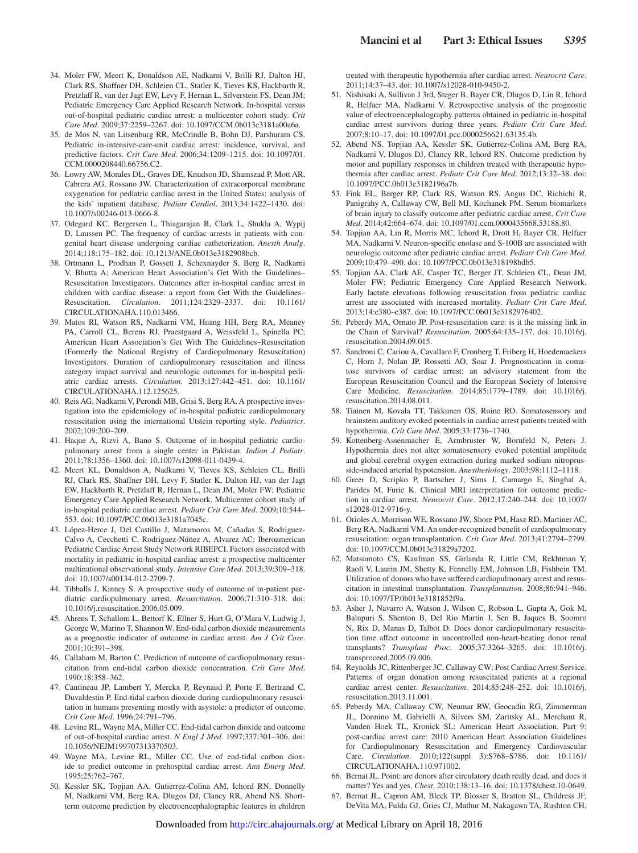- 34. Moler FW, Meert K, Donaldson AE, Nadkarni V, Brilli RJ, Dalton HJ, Clark RS, Shaffner DH, Schleien CL, Statler K, Tieves KS, Hackbarth R, Pretzlaff R, van der Jagt EW, Levy F, Hernan L, Silverstein FS, Dean JM; Pediatric Emergency Care Applied Research Network. In-hospital versus out-of-hospital pediatric cardiac arrest: a multicenter cohort study. *Crit Care Med*. 2009;37:2259–2267. doi: 10.1097/CCM.0b013e3181a00a6a.
- 35. de Mos N, van Litsenburg RR, McCrindle B, Bohn DJ, Parshuram CS. Pediatric in-intensive-care-unit cardiac arrest: incidence, survival, and predictive factors. *Crit Care Med*. 2006;34:1209–1215. doi: 10.1097/01. CCM.0000208440.66756.C2.
- 36. Lowry AW, Morales DL, Graves DE, Knudson JD, Shamszad P, Mott AR, Cabrera AG, Rossano JW. Characterization of extracorporeal membrane oxygenation for pediatric cardiac arrest in the United States: analysis of the kids' inpatient database. *Pediatr Cardiol*. 2013;34:1422–1430. doi: 10.1007/s00246-013-0666-8.
- 37. Odegard KC, Bergersen L, Thiagarajan R, Clark L, Shukla A, Wypij D, Laussen PC. The frequency of cardiac arrests in patients with congenital heart disease undergoing cardiac catheterization. *Anesth Analg*. 2014;118:175–182. doi: 10.1213/ANE.0b013e3182908bcb.
- 38. Ortmann L, Prodhan P, Gossett J, Schexnayder S, Berg R, Nadkarni V, Bhutta A; American Heart Association's Get With the Guidelines– Resuscitation Investigators. Outcomes after in-hospital cardiac arrest in children with cardiac disease: a report from Get With the Guidelines– Resuscitation. *Circulation*. 2011;124:2329–2337. doi: 10.1161/ CIRCULATIONAHA.110.013466.
- 39. Matos RI, Watson RS, Nadkarni VM, Huang HH, Berg RA, Meaney PA, Carroll CL, Berens RJ, Praestgaard A, Weissfeld L, Spinella PC; American Heart Association's Get With The Guidelines–Resuscitation (Formerly the National Registry of Cardiopulmonary Resuscitation) Investigators. Duration of cardiopulmonary resuscitation and illness category impact survival and neurologic outcomes for in-hospital pediatric cardiac arrests. *Circulation*. 2013;127:442–451. doi: 10.1161/ CIRCULATIONAHA.112.125625.
- 40. Reis AG, Nadkarni V, Perondi MB, Grisi S, Berg RA. A prospective investigation into the epidemiology of in-hospital pediatric cardiopulmonary resuscitation using the international Utstein reporting style. *Pediatrics*. 2002;109:200–209.
- 41. Haque A, Rizvi A, Bano S. Outcome of in-hospital pediatric cardiopulmonary arrest from a single center in Pakistan. *Indian J Pediatr*. 2011;78:1356–1360. doi: 10.1007/s12098-011-0439-4.
- 42. Meert KL, Donaldson A, Nadkarni V, Tieves KS, Schleien CL, Brilli RJ, Clark RS, Shaffner DH, Levy F, Statler K, Dalton HJ, van der Jagt EW, Hackbarth R, Pretzlaff R, Hernan L, Dean JM, Moler FW; Pediatric Emergency Care Applied Research Network. Multicenter cohort study of in-hospital pediatric cardiac arrest. *Pediatr Crit Care Med*. 2009;10:544– 553. doi: 10.1097/PCC.0b013e3181a7045c.
- 43. López-Herce J, Del Castillo J, Matamoros M, Cañadas S, Rodriguez-Calvo A, Cecchetti C, Rodriguez-Núñez A, Alvarez AC; Iberoamerican Pediatric Cardiac Arrest Study Network RIBEPCI. Factors associated with mortality in pediatric in-hospital cardiac arrest: a prospective multicenter multinational observational study. *Intensive Care Med*. 2013;39:309–318. doi: 10.1007/s00134-012-2709-7.
- 44. Tibballs J, Kinney S. A prospective study of outcome of in-patient paediatric cardiopulmonary arrest. *Resuscitation*. 2006;71:310–318. doi: 10.1016/j.resuscitation.2006.05.009.
- 45. Ahrens T, Schallom L, Bettorf K, Ellner S, Hurt G, O'Mara V, Ludwig J, George W, Marino T, Shannon W. End-tidal carbon dioxide measurements as a prognostic indicator of outcome in cardiac arrest. *Am J Crit Care*. 2001;10:391–398.
- 46. Callaham M, Barton C. Prediction of outcome of cardiopulmonary resuscitation from end-tidal carbon dioxide concentration. *Crit Care Med*. 1990;18:358–362.
- 47. Cantineau JP, Lambert Y, Merckx P, Reynaud P, Porte F, Bertrand C, Duvaldestin P. End-tidal carbon dioxide during cardiopulmonary resuscitation in humans presenting mostly with asystole: a predictor of outcome. *Crit Care Med*. 1996;24:791–796.
- 48. Levine RL, Wayne MA, Miller CC. End-tidal carbon dioxide and outcome of out-of-hospital cardiac arrest. *N Engl J Med*. 1997;337:301–306. doi: 10.1056/NEJM199707313370503.
- Wayne MA, Levine RL, Miller CC. Use of end-tidal carbon dioxide to predict outcome in prehospital cardiac arrest. *Ann Emerg Med*. 1995;25:762–767.
- 50. Kessler SK, Topjian AA, Gutierrez-Colina AM, Ichord RN, Donnelly M, Nadkarni VM, Berg RA, Dlugos DJ, Clancy RR, Abend NS. Shortterm outcome prediction by electroencephalographic features in children

treated with therapeutic hypothermia after cardiac arrest. *Neurocrit Care*. 2011;14:37–43. doi: 10.1007/s12028-010-9450-2.

- 51. Nishisaki A, Sullivan J 3rd, Steger B, Bayer CR, Dlugos D, Lin R, Ichord R, Helfaer MA, Nadkarni V. Retrospective analysis of the prognostic value of electroencephalography patterns obtained in pediatric in-hospital cardiac arrest survivors during three years. *Pediatr Crit Care Med*. 2007;8:10–17. doi: 10.1097/01.pcc.0000256621.63135.4b.
- 52. Abend NS, Topjian AA, Kessler SK, Gutierrez-Colina AM, Berg RA, Nadkarni V, Dlugos DJ, Clancy RR, Ichord RN. Outcome prediction by motor and pupillary responses in children treated with therapeutic hypothermia after cardiac arrest. *Pediatr Crit Care Med*. 2012;13:32–38. doi: 10.1097/PCC.0b013e3182196a7b.
- 53. Fink EL, Berger RP, Clark RS, Watson RS, Angus DC, Richichi R, Panigrahy A, Callaway CW, Bell MJ, Kochanek PM. Serum biomarkers of brain injury to classify outcome after pediatric cardiac arrest. *Crit Care Med*. 2014;42:664–674. doi: 10.1097/01.ccm.0000435668.53188.80.
- 54. Topjian AA, Lin R, Morris MC, Ichord R, Drott H, Bayer CR, Helfaer MA, Nadkarni V. Neuron-specific enolase and S-100B are associated with neurologic outcome after pediatric cardiac arrest. *Pediatr Crit Care Med*. 2009;10:479–490. doi: 10.1097/PCC.0b013e318198bdb5.
- 55. Topjian AA, Clark AE, Casper TC, Berger JT, Schleien CL, Dean JM, Moler FW; Pediatric Emergency Care Applied Research Network. Early lactate elevations following resuscitation from pediatric cardiac arrest are associated with increased mortality. *Pediatr Crit Care Med*. 2013;14:e380–e387. doi: 10.1097/PCC.0b013e3182976402.
- 56. Peberdy MA, Ornato JP. Post-resuscitation care: is it the missing link in the Chain of Survival? *Resuscitation*. 2005;64:135–137. doi: 10.1016/j. resuscitation.2004.09.015.
- 57. Sandroni C, Cariou A, Cavallaro F, Cronberg T, Friberg H, Hoedemaekers C, Horn J, Nolan JP, Rossetti AO, Soar J. Prognostication in comatose survivors of cardiac arrest: an advisory statement from the European Resuscitation Council and the European Society of Intensive Care Medicine. *Resuscitation*. 2014;85:1779–1789. doi: 10.1016/j. resuscitation.2014.08.011.
- 58. Tiainen M, Kovala TT, Takkunen OS, Roine RO. Somatosensory and brainstem auditory evoked potentials in cardiac arrest patients treated with hypothermia. *Crit Care Med*. 2005;33:1736–1740.
- 59. Kottenberg-Assenmacher E, Armbruster W, Bornfeld N, Peters J. Hypothermia does not alter somatosensory evoked potential amplitude and global cerebral oxygen extraction during marked sodium nitroprusside-induced arterial hypotension. *Anesthesiology*. 2003;98:1112–1118.
- 60. Greer D, Scripko P, Bartscher J, Sims J, Camargo E, Singhal A, Parides M, Furie K. Clinical MRI interpretation for outcome prediction in cardiac arrest. *Neurocrit Care*. 2012;17:240–244. doi: 10.1007/ s12028-012-9716-y.
- 61. Orioles A, Morrison WE, Rossano JW, Shore PM, Hasz RD, Martiner AC, Berg RA, Nadkarni VM. An under-recognized benefit of cardiopulmonary resuscitation: organ transplantation. *Crit Care Med*. 2013;41:2794–2799. doi: 10.1097/CCM.0b013e31829a7202.
- 62. Matsumoto CS, Kaufman SS, Girlanda R, Little CM, Rekhtman Y, Raofi V, Laurin JM, Shetty K, Fennelly EM, Johnson LB, Fishbein TM. Utilization of donors who have suffered cardiopulmonary arrest and resuscitation in intestinal transplantation. *Transplantation*. 2008;86:941–946. doi: 10.1097/TP.0b013e3181852f9a.
- 63. Asher J, Navarro A, Watson J, Wilson C, Robson L, Gupta A, Gok M, Balupuri S, Shenton B, Del Rio Martin J, Sen B, Jaques B, Soomro N, Rix D, Manas D, Talbot D. Does donor cardiopulmonary resuscitation time affect outcome in uncontrolled non-heart-beating donor renal transplants? *Transplant Proc*. 2005;37:3264–3265. doi: 10.1016/j. transproceed.2005.09.006.
- 64. Reynolds JC, Rittenberger JC, Callaway CW; Post Cardiac Arrest Service. Patterns of organ donation among resuscitated patients at a regional cardiac arrest center. *Resuscitation*. 2014;85:248–252. doi: 10.1016/j. resuscitation.2013.11.001.
- 65. Peberdy MA, Callaway CW, Neumar RW, Geocadin RG, Zimmerman JL, Donnino M, Gabrielli A, Silvers SM, Zaritsky AL, Merchant R, Vanden Hoek TL, Kronick SL; American Heart Association. Part 9: post-cardiac arrest care: 2010 American Heart Association Guidelines for Cardiopulmonary Resuscitation and Emergency Cardiovascular Care. *Circulation*. 2010;122(suppl 3):S768–S786. doi: 10.1161/ CIRCULATIONAHA.110.971002.
- 66. Bernat JL. Point: are donors after circulatory death really dead, and does it matter? Yes and yes. *Chest*. 2010;138:13–16. doi: 10.1378/chest.10-0649.
- 67. Bernat JL, Capron AM, Bleck TP, Blosser S, Bratton SL, Childress JF, DeVita MA, Fulda GJ, Gries CJ, Mathur M, Nakagawa TA, Rushton CH,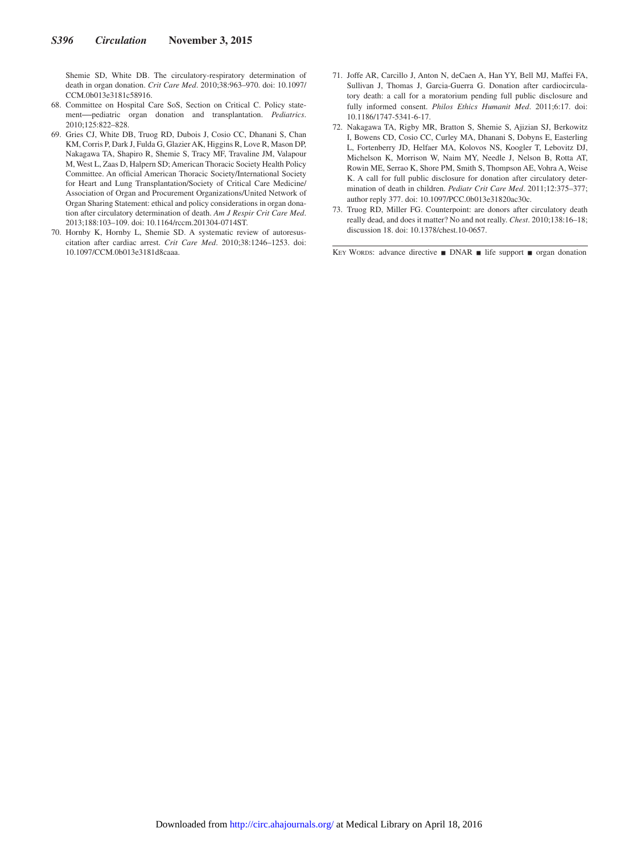Shemie SD, White DB. The circulatory-respiratory determination of death in organ donation. *Crit Care Med*. 2010;38:963–970. doi: 10.1097/ CCM.0b013e3181c58916.

- 68. Committee on Hospital Care SoS, Section on Critical C. Policy statement―pediatric organ donation and transplantation. *Pediatrics*. 2010;125:822–828.
- 69. Gries CJ, White DB, Truog RD, Dubois J, Cosio CC, Dhanani S, Chan KM, Corris P, Dark J, Fulda G, Glazier AK, Higgins R, Love R, Mason DP, Nakagawa TA, Shapiro R, Shemie S, Tracy MF, Travaline JM, Valapour M, West L, Zaas D, Halpern SD; American Thoracic Society Health Policy Committee. An official American Thoracic Society/International Society for Heart and Lung Transplantation/Society of Critical Care Medicine/ Association of Organ and Procurement Organizations/United Network of Organ Sharing Statement: ethical and policy considerations in organ donation after circulatory determination of death. *Am J Respir Crit Care Med*. 2013;188:103–109. doi: 10.1164/rccm.201304-0714ST.
- 70. Hornby K, Hornby L, Shemie SD. A systematic review of autoresuscitation after cardiac arrest. *Crit Care Med*. 2010;38:1246–1253. doi: 10.1097/CCM.0b013e3181d8caaa.
- 71. Joffe AR, Carcillo J, Anton N, deCaen A, Han YY, Bell MJ, Maffei FA, Sullivan J, Thomas J, Garcia-Guerra G. Donation after cardiocirculatory death: a call for a moratorium pending full public disclosure and fully informed consent. *Philos Ethics Humanit Med*. 2011;6:17. doi: 10.1186/1747-5341-6-17.
- 72. Nakagawa TA, Rigby MR, Bratton S, Shemie S, Ajizian SJ, Berkowitz I, Bowens CD, Cosio CC, Curley MA, Dhanani S, Dobyns E, Easterling L, Fortenberry JD, Helfaer MA, Kolovos NS, Koogler T, Lebovitz DJ, Michelson K, Morrison W, Naim MY, Needle J, Nelson B, Rotta AT, Rowin ME, Serrao K, Shore PM, Smith S, Thompson AE, Vohra A, Weise K. A call for full public disclosure for donation after circulatory determination of death in children. *Pediatr Crit Care Med*. 2011;12:375–377; author reply 377. doi: 10.1097/PCC.0b013e31820ac30c.
- 73. Truog RD, Miller FG. Counterpoint: are donors after circulatory death really dead, and does it matter? No and not really. *Chest*. 2010;138:16–18; discussion 18. doi: 10.1378/chest.10-0657.

KEY WORDS: advance directive ■ DNAR ■ life support ■ organ donation